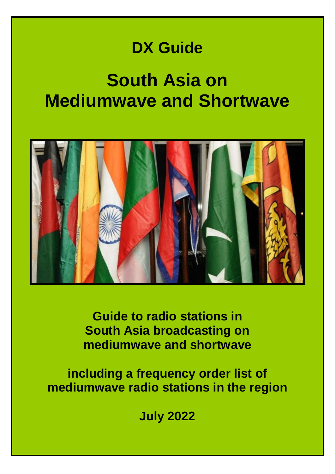## **DX Guide**

# **South Asia on Mediumwave and Shortwave**



**Guide to radio stations in South Asia broadcasting on mediumwave and shortwave**

**including a frequency order list of mediumwave radio stations in the region**

**July 2022**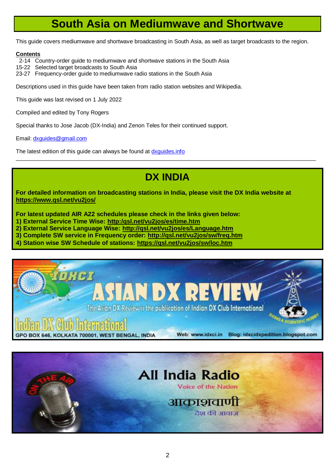## **South Asia on Mediumwave and Shortwave**

This guide covers mediumwave and shortwave broadcasting in South Asia, as well as target broadcasts to the region.

#### **Contents**

- 2-14 Country-order guide to mediumwave and shortwave stations in the South Asia
- 15-22 Selected target broadcasts to South Asia
- 23-27 Frequency-order guide to mediumwave radio stations in the South Asia

Descriptions used in this guide have been taken from radio station websites and Wikipedia.

This guide was last revised on 1 July 2022

Compiled and edited by Tony Rogers

Special thanks to Jose Jacob (DX-India) and Zenon Teles for their continued support.

Email: [dxguides@gmail.com](mailto:dxguides@gmail.com)

The latest edition of this guide can always be found at dxquides.info

## **DX INDIA**

 $\_$  ,  $\_$  ,  $\_$  ,  $\_$  ,  $\_$  ,  $\_$  ,  $\_$  ,  $\_$  ,  $\_$  ,  $\_$  ,  $\_$  ,  $\_$  ,  $\_$  ,  $\_$  ,  $\_$  ,  $\_$  ,  $\_$  ,  $\_$  ,  $\_$  ,  $\_$  ,  $\_$  ,  $\_$  ,  $\_$  ,  $\_$  ,  $\_$  ,  $\_$  ,  $\_$  ,  $\_$  ,  $\_$  ,  $\_$  ,  $\_$  ,  $\_$  ,  $\_$  ,  $\_$  ,  $\_$  ,  $\_$  ,  $\_$  ,

**For detailed information on broadcasting stations in India, please visit the DX India website at <https://www.qsl.net/vu2jos/>**

**For latest updated AIR A22 schedules please check in the links given below:**

**1) External Service Time Wise: [http:/qsl.net/vu2jos/es/time.htm](http://qsl.net/vu2jos/es/time.htm)**

**2) External Service Language Wise: <http://qsl.net/vu2jos/es/Language.htm>**

**3) Complete SW service in Frequency order: <http://qsl.net/vu2jos/sw/freq.htm>**

**4) Station wise SW Schedule of stations: <https://qsl.net/vu2jos/sw/loc.htm>**



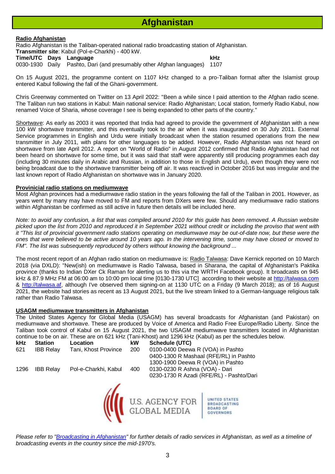## **Afghanistan**

#### **Radio Afghanistan**

Radio Afghanistan is the Taliban-operated national radio broadcasting station of Afghanistan.

**Transmitter site**: Kabul (Pol-e-Charkhi) - 400 kW.

**Time/UTC Days Language kHz**

0030-1930 Daily Pashto, Dari (and presumably other Afghan languages) 1107

On 15 August 2021, the programme content on 1107 kHz changed to a pro-Taliban format after the Islamist group entered Kabul following the fall of the Ghani-government.

Chris Greenway commented on Twitter on 13 April 2022: "Been a while since I paid attention to the Afghan radio scene. The Taliban run two stations in Kabul: Main national service: Radio Afghanistan; Local station, formerly Radio Kabul, now renamed Voice of Sharia, whose coverage I see is being expanded to other parts of the country."

Shortwave: As early as 2003 it was reported that India had agreed to provide the government of Afghanistan with a new 100 kW shortwave transmitter, and this eventually took to the air when it was inaugurated on 30 July 2011. External Service programmes in English and Urdu were initially broadcast when the station resumed operations from the new transmitter in July 2011, with plans for other languages to be added. However, Radio Afghanistan was not heard on shortwave from late April 2012. A report on "World of Radio" in August 2012 confirmed that Radio Afghanistan had not been heard on shortwave for some time, but it was said that staff were apparently still producing programmes each day (including 30 minutes daily in Arabic and Russian, in addition to those in English and Urdu), even though they were not being broadcast due to the shortwave transmitter being off air. It was reactived in October 2016 but was irregular and the last known report of Radio Afghanistan on shortwave was in January 2020.

#### **Provinicial radio stations on mediumwave**

Most Afghan provinces had a mediumwave radio station in the years following the fall of the Taliban in 2001. However, as years went by many may have moved to FM and reports from DXers were few. Should any mediumwave radio stations within Afghanistan be confirmed as still active in future then details will be included here.

*Note: to avoid any confusion, a list that was compiled around 2010 for this guide has been removed. A Russian website picked upon the list from 2010 and reproduced it in September 2021 without credit or including the proviso that went with it "This list of provincial government radio stations operating on mediumwave may be out-of-date now, but these were the ones that were believed to be active around 10 years ago. In the intervening time, some may have closed or moved to FM". The list was subsequently reproduced by others without knowing the background ...*

The most recent report of an Afghan radio station on mediumwave is: Radio Talwasa: Dave Kernick reported on 10 March 2018 (via DXLD): "New(ish) on mediumwave is Radio Talwasa, based in Sharana, the capital of Afghanistan's Paktika province (thanks to Indian DXer Ck Raman for alerting us to this via the WRTH Facebook group). It broadcasts on 945 kHz & 87.9 MHz FM at 06:00 am to 10:00 pm local time [0130-1730 UTC] according to their website at [http://talwasa.com](http://talwasa.com/) & [http://talwasa.af,](http://talwasa.af/) although I've observed them signing-on at 1130 UTC on a Friday (9 March 2018); as of 16 August 2021, the website had stories as recent as 13 August 2021, but the live stream linked to a German-language religious talk rather than Radio Talwasa.

#### **USAGM mediumwave transmitters in Afghanistan**

The United States Agency for Global Media (USAGM) has several broadcasts for Afghanistan (and Pakistan) on mediumwave and shortwave. These are produced by Voice of America and Radio Free Europe/Radio Liberty. Since the Taliban took control of Kabul on 15 August 2021, the two USAGM mediumwave transmitters located in Afghanistan continue to be on air. These are on 621 kHz (Tani-Khost) and 1296 kHz (Kabul) as per the schedules below.

| kHz  | <b>Station</b>   | Location             | kW  | Schedule (UTC)                                |                                                                             |
|------|------------------|----------------------|-----|-----------------------------------------------|-----------------------------------------------------------------------------|
| 621  | <b>IBB Relay</b> | Tani, Khost Province | 200 | 0100-0400 Deewa R (VOA) in Pashto             |                                                                             |
|      |                  |                      |     |                                               | 0400-1300 R Mashaal (RFE/RL) in Pashto                                      |
|      |                  |                      |     | 1300-1900 Deewa R (VOA) in Pashto             |                                                                             |
| 1296 | <b>IBB Relay</b> | Pol-e-Charkhi, Kabul | 400 | 0130-0230 R Ashna (VOA) - Dari                |                                                                             |
|      |                  |                      |     |                                               | 0230-1730 R Azadi (RFE/RL) - Pashto/Dari                                    |
|      |                  |                      |     | <b>U.S. AGENCY FOR</b><br><b>GLOBAL MEDIA</b> | UNITED STATES<br><b>BROADCASTING</b><br><b>BOARD OF</b><br><b>GOVERNORS</b> |

*Please refer to ["Broadcasting in Afghanistan"](https://drive.google.com/file/d/1V1KE-tf-YNgMUxbiGC7qgWitOjIQ9En5/view?usp=sharing) for further details of radio services in Afghanistan, as well as a timeline of broadcasting events in the country since the mid-1970's.*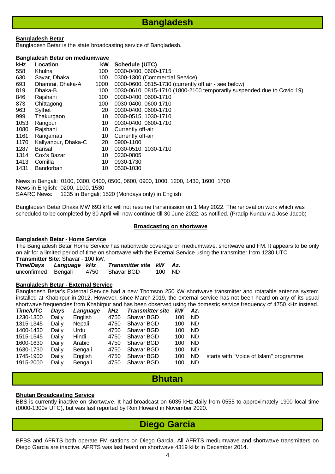## **Bangladesh**

#### **Bangladesh Betar**

Bangladesh Betar is the state broadcasting service of Bangladesh.

#### **Bangladesh Betar on mediumwave**

| kHz  | Location            | kW   | Schedule (UTC)                                                         |
|------|---------------------|------|------------------------------------------------------------------------|
| 558  | Khulna              | 100  | 0030-0400, 0600-1715                                                   |
| 630  | Savar, Dhaka        | 100  | 0300-1300 (Commercial Service)                                         |
| 693  | Dhamrai, Dhaka-A    | 1000 | 0030-0600, 0815-1730 (currently off air - see below)                   |
| 819  | Dhaka-B             | 100  | 0030-0610, 0815-1710 (1800-2100 temporarily suspended due to Covid 19) |
| 846  | Rajshahi            | 100  | 0030-0400, 0600-1710                                                   |
| 873  | Chittagong          | 100  | 0030-0400, 0600-1710                                                   |
| 963  | Sylhet              | 20   | 0030-0400, 0600-1710                                                   |
| 999  | Thakurgaon          | 10   | 0030-0515, 1030-1710                                                   |
| 1053 | Rangpur             | 10   | 0030-0400, 0600-1710                                                   |
| 1080 | Rajshahi            | 10   | Currently off-air                                                      |
| 1161 | Rangamati           | 10   | Currently off-air                                                      |
| 1170 | Kallyanpur, Dhaka-C | 20   | 0900-1100                                                              |
| 1287 | Barisal             | 10   | 0030-0510, 1030-1710                                                   |
| 1314 | Cox's Bazar         | 10   | 0230-0805                                                              |
| 1413 | Comilla             | 10   | 0930-1730                                                              |
| 1431 | Bandorban           | 10   | 0530-1030                                                              |

News in Bengali: 0100, 0300, 0400, 0500, 0600, 0900, 1000, 1200, 1430, 1600, 1700 News in English: 0200, 1100, 1530 SAARC News: 1235 in Bengali; 1520 (Mondays only) in English

Bangladesh Betar Dhaka MW 693 kHz will not resume transmission on 1 May 2022. The renovation work which was scheduled to be completed by 30 April will now continue till 30 June 2022, as notified. (Pradip Kundu via Jose Jacob)

#### **Broadcasting on shortwave**

#### **Bangladesh Betar - Home Service**

The Bangladesh Betar Home Service has nationwide coverage on mediumwave, shortwave and FM. It appears to be only on air for a limited period of time on shortwave with the External Service using the transmitter from 1230 UTC.

**Transmitter Site**: Shavar - 100 kW. *Time/Days Language kHz Transmitter site kW Az.*

| <i>ume/Days</i>     | Language KHZ | <b>Transmitter site KW AZ.</b> |        |  |
|---------------------|--------------|--------------------------------|--------|--|
| unconfirmed Bengali |              | 4750 Shavar BGD                | 100 ND |  |

#### **Bangladesh Betar - External Service**

Bangladesh Betar's External Service had a new Thomson 250 kW shortwave transmitter and rotatable antenna system installed at Khabirpur in 2012. However, since March 2019, the external service has not been heard on any of its usual shortwave frequencies from Khabirpur and has been observed using the domestic service frequency of 4750 kHz instead.

| Time/UTC  | Days  | Language | <b>kHz</b> | <b>Transmitter site</b> | <b>kW</b> | Az.       |                                        |
|-----------|-------|----------|------------|-------------------------|-----------|-----------|----------------------------------------|
| 1230-1300 | Daily | English  | 4750       | Shavar BGD              | 100       | ND.       |                                        |
| 1315-1345 | Daily | Nepali   | 4750       | Shavar BGD              | 100       | ND.       |                                        |
| 1400-1430 | Daily | Urdu     | 4750       | Shavar BGD              | 100       | ND        |                                        |
| 1515-1545 | Daily | Hindi    | 4750       | Shavar BGD              | 100       | ND.       |                                        |
| 1600-1630 | Daily | Arabic   | 4750       | Shavar BGD              | 100       | ND        |                                        |
| 1630-1730 | Daily | Bengali  | 4750       | Shavar BGD              | 100       | <b>ND</b> |                                        |
| 1745-1900 | Daily | English  | 4750       | Shavar BGD              | 100       | ND        | starts with "Voice of Islam" programme |
| 1915-2000 | Daily | Bengali  | 4750       | Shavar BGD              | 100       | ND.       |                                        |
|           |       |          |            |                         |           |           |                                        |

### **Bhutan**

#### **Bhutan Broadcasting Service**

BBS is currently inactive on shortwave. It had broadcast on 6035 kHz daily from 0555 to approximately 1900 local time (0000-1300v UTC), but was last reported by Ron Howard in November 2020.

### **Diego Garcia**

BFBS and AFRTS both operate FM stations on Diego Garcia. All AFRTS mediumwave and shortwave transmitters on Diego Garcia are inactive. AFRTS was last heard on shortwave 4319 kHz in December 2014.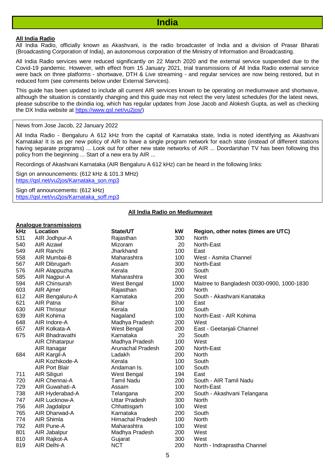#### **All India Radio**

All India Radio, officially known as Akashvani, is the radio broadcaster of India and a division of Prasar Bharati (Broadcasting Corporation of India), an autonomous corporation of the Ministry of Information and Broadcasting.

All India Radio services were reduced significantly on 22 March 2020 and the external service suspended due to the Covid-19 pandemic. However, with effect from 15 January 2021, trial transmissions of All India Radio external service were back on three platforms - shortwave, DTH & Live streaming - and regular services are now being restored, but in reduced form (see comments below under External Services).

This guide has been updated to include all current AIR services known to be operating on mediumwave and shortwave, although the situation is constantly changing and this guide may not relect the very latest schedules (for the latest news, please subscribe to the dxindia iog, which has regular updates from Jose Jacob and Alokesh Gupta, as well as checking the DX India website at [https://www.qsl.net/vu2jos/\)](https://www.qsl.net/vu2jos/)

#### News from Jose Jacob, 22 January 2022

All India Radio - Bengaluru A 612 kHz from the capital of Karnataka state, India is noted identifying as Akashvani Karnataka! It is as per new policy of AIR to have a single program network for each state (instead of different stations having separate programs) ... Look out for other new state networks of AIR ... Doordarshan TV has been following this policy from the beginning ... Start of a new era by AIR ...

Recordings of Akashvani Karnataka (AIR Bengaluru A 612 kHz) can be heard in the following links:

Sign on announcements: (612 kHz & 101.3 MHz) [https://qsl.net/vu2jos/Karnataka\\_son.mp3](https://qsl.net/vu2jos/Karnataka_son.mp3?fbclid=IwAR3yB99CsMtGvAlK9Gb0UrChLhF2-HTEHL3UINybdl396ShYxCNGuxM9DEQ)

Sign off announcements: (612 kHz) [https://qsl.net/vu2jos/Karnataka\\_soff.mp3](https://qsl.net/vu2jos/Karnataka_soff.mp3?fbclid=IwAR189dVraTqdMjsj8DLpEB85Mew2hye6mfJqXzI-cLOqoGd_BWoQ72wFNow)

#### **All India Radio on Mediumwave**

#### **Analogue transmissions**

| <u>Analogue transmissions</u> |                          |          |                                            |
|-------------------------------|--------------------------|----------|--------------------------------------------|
| Location                      |                          | kW       | Region, other notes (times are UTC)        |
| AIR Jodhpur-A                 | Rajasthan                | 300      | North                                      |
| <b>AIR Aizawl</b>             | Mizoram                  | 20       | North-East                                 |
| AIR Ranchi                    | Jharkhand                | 100      | East                                       |
| AIR Mumbai-B                  | Maharashtra              | 100      | West - Asmita Channel                      |
| AIR Dibrugarh                 | Assam                    | 300      | North-East                                 |
| AIR Alappuzha                 | Kerala                   | 200      | South                                      |
| AIR Nagpur-A                  | Maharashtra              | 300      | West                                       |
| <b>AIR Chinsurah</b>          | West Bengal              | 1000     | Maitree to Bangladesh 0030-0900, 1000-1830 |
| AIR Ajmer                     | Rajasthan                | 200      | <b>North</b>                               |
| AIR Bengaluru-A               | Karnataka                | 200      | South - Akashvani Kanataka                 |
| AIR Patna                     | <b>Bihar</b>             | 100      | East                                       |
| <b>AIR Thrissur</b>           | Kerala                   | 100      | South                                      |
| AIR Kohima                    | Nagaland                 | 100      | North-East - AIR Kohima                    |
| AIR Indore-A                  | Madhya Pradesh           | 200      | West                                       |
| AIR Kolkata-A                 | West Bengal              | 200      | East - Geetanjali Channel                  |
| AIR Bhadravathi               | Karnataka                | 20       | South                                      |
| <b>AIR Chhatarpur</b>         | Madhya Pradesh           | 100      | West                                       |
| AIR Itanagar                  | <b>Arunachal Pradesh</b> | 200      | North-East                                 |
| AIR Kargil-A                  | Ladakh                   | 200      | North                                      |
| AIR Kozhikode-A               | Kerala                   | 100      | South                                      |
| <b>AIR Port Blair</b>         | Andaman Is.              | 100      | South                                      |
| AIR Siliguri                  | West Bengal              | 194      | East                                       |
| AIR Chennai-A                 | <b>Tamil Nadu</b>        | 200      | South - AIR Tamil Nadu                     |
| AIR Guwahati-A                | Assam                    | 100      | North-East                                 |
| AIR Hyderabad-A               | Telangana                | 200      | South - Akashvani Telangana                |
| AIR Lucknow-A                 | <b>Uttar Pradesh</b>     | 300      | North                                      |
| AIR Jagdalpur                 | Chhattisgarh             | 100      | West                                       |
| AIR Dharwad-A                 | Karnataka                | 200      | South                                      |
| AIR Shimla                    | <b>Himachal Pradesh</b>  | 100      | North                                      |
| AIR Pune-A                    | Maharashtra              | 100      | West                                       |
| AIR Jabalpur                  | Madhya Pradesh           | 200      | West                                       |
| AIR Rajkot-A                  | Gujarat                  | 300      | West                                       |
| AIR Delhi-A                   | <b>NCT</b>               | 200      | North - Indraprastha Channel               |
|                               |                          | State/UT |                                            |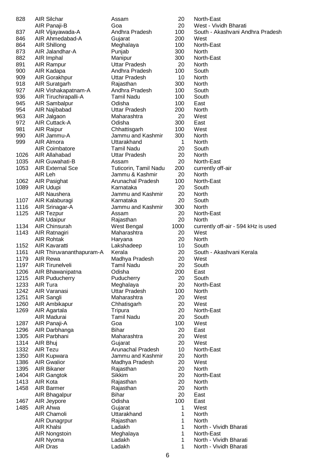| 828  | <b>AIR Silchar</b>       | Assam                    | 20   | North-East                          |
|------|--------------------------|--------------------------|------|-------------------------------------|
|      | AIR Panaji-B             | Goa                      | 20   | West - Vividh Bharati               |
| 837  | AIR Vijayawada-A         | Andhra Pradesh           | 100  | South - Akashvani Andhra Pradesh    |
| 846  | AIR Ahmedabad-A          | Gujarat                  | 200  | West                                |
| 864  | AIR Shillong             | Meghalaya                | 100  | North-East                          |
| 873  | AIR Jalandhar-A          | Punjab                   | 300  | <b>North</b>                        |
| 882  | AIR Imphal               | Manipur                  | 300  | North-East                          |
| 891  | AIR Rampur               | Uttar Pradesh            | 20   | North                               |
| 900  | AIR Kadapa               | Andhra Pradesh           | 100  | South                               |
|      |                          |                          | 10   |                                     |
| 909  | AIR Gorakhpur            | Uttar Pradesh            |      | North                               |
| 918  | AIR Suratgarh            | Rajasthan                | 300  | North                               |
| 927  | AIR Vishakapatnam-A      | Andhra Pradesh           | 100  | South                               |
| 936  | AIR Tiruchirapalli-A     | Tamil Nadu               | 100  | South                               |
| 945  | AIR Sambalpur            | Odisha                   | 100  | East                                |
| 954  | AIR Najibabad            | Uttar Pradesh            | 200  | <b>North</b>                        |
| 963  | AIR Jalgaon              | Maharashtra              | 20   | West                                |
| 972  | AIR Cuttack-A            | Odisha                   | 300  | East                                |
| 981  | <b>AIR Raipur</b>        | Chhattisgarh             | 100  | West                                |
| 990  | AIR Jammu-A              | Jammu and Kashmir        | 300  | North                               |
| 999  | AIR Almora               | Uttarakhand              | 1    | North                               |
|      | <b>AIR Coimbatore</b>    | Tamil Nadu               | 20   | South                               |
| 1026 | AIR Allahabad            | <b>Uttar Pradesh</b>     | 20   | <b>North</b>                        |
| 1035 | AIR Guwahati-B           | Assam                    | 20   | North-East                          |
| 1053 | <b>AIR External Sce</b>  | Tuticorin, Tamil Nadu    | 200  | currently off-air                   |
|      | AIR Leh                  | Jammu & Kashmir          | 20   | North                               |
| 1062 | AIR Pasighat             | <b>Arunachal Pradesh</b> | 100  | North-East                          |
| 1089 |                          |                          | 20   |                                     |
|      | AIR Udupi                | Karnataka                |      | South                               |
|      | AIR Naushera             | Jammu and Kashmir        | 20   | <b>North</b>                        |
| 1107 | AIR Kalaburagi           | Karnataka                | 20   | South                               |
| 1116 | AIR Srinagar-A           | Jammu and Kashmir        | 300  | North                               |
| 1125 | AIR Tezpur               | Assam                    | 20   | North-East                          |
|      | <b>AIR Udaipur</b>       | Rajasthan                | 20   | North                               |
| 1134 | AIR Chinsurah            | West Bengal              | 1000 | currently off-air - 594 kHz is used |
| 1143 | AIR Ratnagiri            | Maharashtra              | 20   | West                                |
|      | <b>AIR Rohtak</b>        | Haryana                  | 20   | North                               |
| 1152 | <b>AIR Kavaratti</b>     | Lakshadeep               | 10   | South                               |
| 1161 | AIR Thiruvananthapuram-A | Kerala                   | 20   | South - Akashvani Kerala            |
| 1179 | AIR Rewa                 | Madhya Pradesh           | 20   | West                                |
| 1197 | <b>AIR Tirunelveli</b>   | <b>Tamil Nadu</b>        | 20   | South                               |
| 1206 | AIR Bhawanipatna         | Odisha                   | 200  | East                                |
| 1215 | <b>AIR Puducherry</b>    | Puducherry               | 20   | South                               |
| 1233 | AIR Tura                 | Meghalaya                | 20   | North-East                          |
| 1242 | AIR Varanasi             | <b>Uttar Pradesh</b>     | 100  | North                               |
| 1251 | AIR Sangli               | Maharashtra              | 20   | West                                |
| 1260 | AIR Ambikapur            | Chhatisgarh              | 20   | West                                |
| 1269 | AIR Agartala             | Tripura                  | 20   | North-East                          |
|      | AIR Madurai              | <b>Tamil Nadu</b>        | 20   | South                               |
| 1287 | AIR Panaji-A             | Goa                      | 100  | West                                |
| 1296 |                          | <b>Bihar</b>             | 20   |                                     |
|      | AIR Darbhanga            |                          |      | East                                |
| 1305 | AIR Parbhani             | Maharashtra              | 20   | West                                |
| 1314 | AIR Bhuj                 | Gujarat                  | 20   | West                                |
| 1332 | <b>AIR Tezu</b>          | <b>Arunachal Pradesh</b> | 10   | North-East                          |
| 1350 | AIR Kupwara              | Jammu and Kashmir        | 20   | North                               |
| 1386 | <b>AIR Gwalior</b>       | Madhya Pradesh           | 20   | West                                |
| 1395 | AIR Bikaner              | Rajasthan                | 20   | North                               |
| 1404 | AIR Gangtok              | Sikkim                   | 20   | North-East                          |
| 1413 | AIR Kota                 | Rajasthan                | 20   | North                               |
| 1458 | AIR Barmer               | Rajasthan                | 20   | North                               |
|      | AIR Bhagalpur            | <b>Bihar</b>             | 20   | East                                |
| 1467 | AIR Jeypore              | Odisha                   | 100  | East                                |
| 1485 | AIR Ahwa                 | Gujarat                  | 1    | West                                |
|      | AIR Chamoli              | Uttarakhand              | 1    | North                               |
|      | AIR Dunagrpur            | Rajasthan                | 1    | North                               |
|      | <b>AIR Khalsi</b>        | Ladakh                   | 1    | North - Vividh Bharati              |
|      | <b>AIR Nongstoin</b>     | Meghalaya                | 1    | North-East                          |
|      | AIR Nyoma                | Ladakh                   | 1    | North - Vividh Bharati              |
|      | AIR Dras                 | Ladakh                   | 1    | North - Vividh Bharati              |
|      |                          |                          |      |                                     |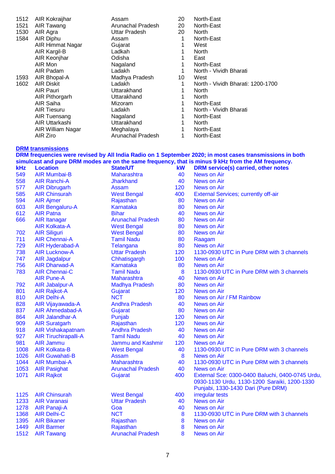| 1512 | AIR Kokraijhar                      | Assam                                | 20        | North-East                                                                                                                                |
|------|-------------------------------------|--------------------------------------|-----------|-------------------------------------------------------------------------------------------------------------------------------------------|
| 1521 | AIR Tawang                          | Arunachal Pradesh                    | 20        | North-East                                                                                                                                |
| 1530 | AIR Agra                            | <b>Uttar Pradesh</b>                 | 20        | North                                                                                                                                     |
| 1584 | AIR Diphu                           | Assam                                | 1<br>1    | North-East                                                                                                                                |
|      | AIR Himmat Nagar<br>AIR Kargil-B    | Gujarat<br>Ladkah                    | 1         | West<br>North                                                                                                                             |
|      | AIR Keonjhar                        | Odisha                               | 1         | East                                                                                                                                      |
|      | AIR Mon                             | Nagaland                             | 1         | North-East                                                                                                                                |
|      | AIR Padam                           | Ladakh                               | 1         | North - Vividh Bharati                                                                                                                    |
| 1593 | AIR Bhopal-A                        | Madhya Pradesh                       | 10        | West                                                                                                                                      |
| 1602 | <b>AIR Diskit</b>                   | Ladakh                               | 1         | North - Vividh Bharati: 1200-1700                                                                                                         |
|      | AIR Pauri                           | Uttarakhand                          | 1         | North                                                                                                                                     |
|      | AIR Pithorgarh                      | Uttarakhand                          | 1         | North                                                                                                                                     |
|      | AIR Saiha                           | Mizoram                              | 1         | North-East                                                                                                                                |
|      | <b>AIR Tiesuru</b>                  | Ladakh                               | 1         | North - Vividh Bharati                                                                                                                    |
|      | AIR Tuensang                        | Nagaland                             | 1         | North-East                                                                                                                                |
|      | AIR Uttarkashi                      | Uttarakhand                          | 1         | North                                                                                                                                     |
|      | AIR William Nagar                   | Meghalaya                            | 1         | North-East                                                                                                                                |
|      | AIR Ziro                            | Arunachal Pradesh                    | 1         | North-East                                                                                                                                |
|      | <b>DRM transmissions</b>            |                                      |           |                                                                                                                                           |
|      |                                     |                                      |           | DRM frequencies were revised by All India Radio on 1 September 2020; in most cases transmissions in both                                  |
| kHz  | <b>Location</b>                     | <b>State/UT</b>                      | <b>kW</b> | simulcast and pure DRM modes are on the same frequency, that is minus 9 kHz from the AM frequency.<br>DRM service(s) carried, other notes |
| 549  | <b>AIR Mumbai-B</b>                 | <b>Maharashtra</b>                   | 40        | News on Air                                                                                                                               |
| 558  | <b>AIR Ranchi-A</b>                 | <b>Jharkhand</b>                     | 40        | <b>News on Air</b>                                                                                                                        |
| 577  | <b>AIR Dibrugarh</b>                | Assam                                | 120       | <b>News on Air</b>                                                                                                                        |
| 585  | <b>AIR Chinsurah</b>                | <b>West Bengal</b>                   | 400       | <b>External Services; currently off-air</b>                                                                                               |
| 594  | <b>AIR Ajmer</b>                    | Rajasthan                            | 80        | <b>News on Air</b>                                                                                                                        |
| 603  | <b>AIR Bengaluru-A</b>              | <b>Karnataka</b>                     | 80        | <b>News on Air</b>                                                                                                                        |
| 612  | <b>AIR Patna</b>                    | <b>Bihar</b>                         | 40        | News on Air                                                                                                                               |
| 666  | <b>AIR Itanagar</b>                 | <b>Arunachal Pradesh</b>             | 80        | News on Air                                                                                                                               |
|      | <b>AIR Kolkata-A</b>                | <b>West Bengal</b>                   | 80        | News on Air                                                                                                                               |
| 702  | <b>AIR Siliguri</b>                 | <b>West Bengal</b>                   | 80        | News on Air                                                                                                                               |
| 711  | <b>AIR Chennai-A</b>                | <b>Tamil Nadu</b>                    | 80        | Raagam                                                                                                                                    |
| 729  | AIR Hyderabad-A                     | Telangana                            | 80        | <b>News on Air</b>                                                                                                                        |
| 738  | <b>AIR Lucknow-A</b>                | <b>Uttar Pradesh</b>                 | 120       | 1130-0930 UTC in Pure DRM with 3 channels                                                                                                 |
| 747  | <b>AIR Jagdalpur</b>                | Chhatisgargh                         | 100       | <b>News on Air</b>                                                                                                                        |
| 756  | <b>AIR Dharwad-A</b>                | Karnataka                            | 80        | News on Air                                                                                                                               |
| 783  | <b>AIR Chennai-C</b>                | <b>Tamil Nadu</b>                    | 8         | 1130-0930 UTC in Pure DRM with 3 channels                                                                                                 |
| 792  | <b>AIR Pune-A</b><br>AIR Jabalpur-A | Maharashtra<br><b>Madhya Pradesh</b> | 40<br>80  | <b>News on Air</b><br><b>News on Air</b>                                                                                                  |
| 801  | <b>AIR Rajkot-A</b>                 | Gujarat                              | 120       | News on Air                                                                                                                               |
| 810  | <b>AIR Delhi-A</b>                  | <b>NCT</b>                           | 80        | News on Air / FM Rainbow                                                                                                                  |
| 828  | AIR Vijayawada-A                    | <b>Andhra Pradesh</b>                | 40        | <b>News on Air</b>                                                                                                                        |
| 837  | AIR Ahmedabad-A                     | Gujarat                              | 80        | <b>News on Air</b>                                                                                                                        |
| 864  | AIR Jalandhar-A                     | Punjab                               | 120       | News on Air                                                                                                                               |
| 909  | <b>AIR Suratgarh</b>                | Rajasthan                            | 120       | <b>News on Air</b>                                                                                                                        |
| 918  | <b>AIR Vishakapatnam</b>            | <b>Andhra Pradesh</b>                | 40        | <b>News on Air</b>                                                                                                                        |
| 927  | <b>AIR Tiruchirapalli-A</b>         | <b>Tamil Nadu</b>                    | 40        | <b>News on Air</b>                                                                                                                        |
| 981  | <b>AIR Jammu</b>                    | Jammu and Kashmir                    | 120       | News on Air                                                                                                                               |
| 1008 | <b>AIR Kolkata-B</b>                | <b>West Bengal</b>                   | 40        | 1130-0930 UTC in Pure DRM with 3 channels                                                                                                 |
| 1026 | <b>AIR Guwahati-B</b>               | Assam                                | 8         | News on Air                                                                                                                               |
| 1044 | AIR Mumbai-A                        | Maharashtra                          | 40        | 1130-0930 UTC in Pure DRM with 3 channels                                                                                                 |
| 1053 | <b>AIR Pasighat</b>                 | <b>Arunachal Pradesh</b>             | 40        | News on Air                                                                                                                               |
| 1071 | <b>AIR Rajkot</b>                   | Gujarat                              | 400       | External Sce: 0300-0400 Baluchi, 0400-0745 Urdu,<br>0930-1130 Urdu, 1130-1200 Saraiki, 1200-1330                                          |
| 1125 | <b>AIR Chinsurah</b>                | <b>West Bengal</b>                   | 400       | Punjabi, 1330-1430 Dari (Pure DRM)<br>irregular tests                                                                                     |
| 1233 | <b>AIR Varanasi</b>                 | <b>Uttar Pradesh</b>                 | 40        | <b>News on Air</b>                                                                                                                        |
| 1278 | <b>AIR Panaji-A</b>                 | Goa                                  | 40        | <b>News on Air</b>                                                                                                                        |
| 1368 | <b>AIR Delhi-C</b>                  | <b>NCT</b>                           | 8         | 1130-0930 UTC in Pure DRM with 3 channels                                                                                                 |
| 1395 | <b>AIR Bikaner</b>                  | Rajasthan                            | 8         | <b>News on Air</b>                                                                                                                        |
| 1449 | <b>AIR Barmer</b>                   | Rajasthan                            | 8         | <b>News on Air</b>                                                                                                                        |
| 1512 | <b>AIR Tawang</b>                   | <b>Arunachal Pradesh</b>             | 8         | <b>News on Air</b>                                                                                                                        |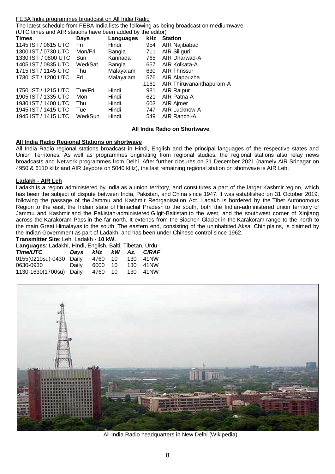#### FEBA India programmes broadcast on All India Radio

The latest schedule from FEBA India lists the following as being broadcast on mediumwave (UTC times and AIR stations have been added by the editor)

| <b>Times</b>        | <b>Days</b> | Languages |      | kHz Station              |
|---------------------|-------------|-----------|------|--------------------------|
| 1145 IST / 0615 UTC | Fri         | Hindi     | 954  | AIR Najibabad            |
| 1300 IST / 0730 UTC | Mon/Fri     | Bangla    | 711  | AIR Siliguri             |
| 1330 IST / 0800 UTC | Sun         | Kannada   | 765  | AIR Dharwad-A            |
| 1405 IST / 0835 UTC | Wed/Sat     | Bangla    | 657  | AIR Kolkata-A            |
| 1715 IST / 1145 UTC | Thu         | Malayalam | 630  | <b>AIR Thrissur</b>      |
| 1730 IST / 1200 UTC | Fri         | Malayalam | 576  | AIR Alappuzha            |
|                     |             |           | 1161 | AIR Thiruvananthapuram-A |
| 1750 IST / 1215 UTC | Tue/Fri     | Hindi     | 981  | <b>AIR Raipur</b>        |
| 1905 IST / 1335 UTC | Mon         | Hindi     | 621  | AIR Patna-A              |
| 1930 IST / 1400 UTC | Thu         | Hindi     | 603  | AIR Ajmer                |
| 1945 IST / 1415 UTC | Tue         | Hindi     | 747  | AIR Lucknow-A            |
| 1945 IST / 1415 UTC | Wed/Sun     | Hindi     | 549  | AIR Ranchi-A             |

#### **All India Radio on Shortwave**

#### **All India Radio Regional Stations on shortwave**

All India Radio regional stations broadcast in Hindi, English and the principal languages of the respective states and Union Territories. As well as programmes originating from regional studios, the regional stations also relay news broadcasts and Network programmes from Delhi. After further closures on 31 December 2021 (namely AIR Srinagar on 4950 & 6110 kHz and AIR Jeypore on 5040 kHz), the last remaining regional station on shortwave is AIR Leh.

#### **Ladakh - AIR Leh**

Ladakh is a region administered by India as a union territory, and constitutes a part of the larger Kashmir region, which has been the subject of dispute between India, Pakistan, and China since 1947. It was established on 31 October 2019, following the passage of the Jammu and Kashmir Reorganisation Act. Ladakh is bordered by the Tibet Autonomous Region to the east, the Indian state of Himachal Pradesh to the south, both the Indian-administered union territory of Jammu and Kashmir and the Pakistan-administered Gilgit-Baltistan to the west, and the southwest corner of Xinjiang across the Karakoram Pass in the far north. It extends from the Siachen Glacier in the Karakoram range to the north to the main Great Himalayas to the south. The eastern end, consisting of the uninhabited Aksai Chin plains, is claimed by the Indian Government as part of Ladakh, and has been under Chinese control since 1962.

**Transmitter Site**: Leh, Ladakh **- 10 kW.**

| Languages: Ladakhi, Hindi, English, Balti, Tibetan, Urdu |       |        |    |      |           |  |  |  |
|----------------------------------------------------------|-------|--------|----|------|-----------|--|--|--|
| Time/UTC                                                 | Davs  | kHz kW |    |      | Az. CIRAF |  |  |  |
| 0155(0210su)-0430 Daily                                  |       | 4760   | 10 | 130. | 41NW      |  |  |  |
| 0630-0930                                                | Daily | 6000   | 10 | 130. | 41NW      |  |  |  |
| 1130-1630(1700su) Daily                                  |       | 4760   | 10 | 130  | 41NW      |  |  |  |



All India Radio headquarters in New Delhi (Wikipedia)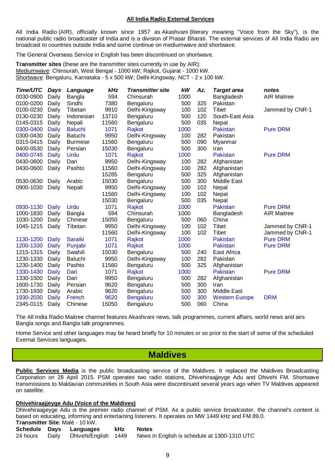#### **All India Radio External Services**

All India Radio (AIR), officially known since 1957 as Akashvani (literary meaning "Voice from the Sky"), is the national public radio broadcaster of India and is a division of Prasar Bharati. The external services of All India Radio are broadcast to countries outside India and some continue on mediumwave and shortwave.

The General Overseas Service in English has been discontinued on shortwave.

**Transmitter sites** (these are the transmitter sites currently in use by AIR): Mediumwave: Chinsurah, West Bengal - 1000 kW; Rajkot, Gujarat - 1000 kW. Shortwave: Bengaluru, Karnataka - 5 x 500 kW; Delhi-Kingsway, NCT - 2 x 100 kW.

| Time/UTC  | Days         | Language       | kHz   | <b>Transmitter site</b> | kW   | Az. | <b>Target area</b>    | notes              |
|-----------|--------------|----------------|-------|-------------------------|------|-----|-----------------------|--------------------|
| 0030-0900 | Daily        | Bangla         | 594   | Chinsurah               | 1000 |     | Bangladesh            | <b>AIR Maitree</b> |
| 0100-0200 | Daily        | Sindhi         | 7380  | Bengaluru               | 500  | 325 | Pakistan              |                    |
| 0100-0230 | Daily        | Tibetan        | 9910  | Delhi-Kingsway          | 100  | 102 | <b>Tibet</b>          | Jammed by CNR-1    |
| 0130-0230 | Daily        | Indonesian     | 13710 | Bengaluru               | 500  | 120 | South-East Asia       |                    |
| 0145-0315 | Daily        | Nepali         | 11560 | Bengaluru               | 500  | 035 | Nepal                 |                    |
| 0300-0400 | <b>Daily</b> | <b>Baluchi</b> | 1071  | Rajkot                  | 1000 |     | Pakistan              | <b>Pure DRM</b>    |
| 0300-0430 | Daily        | <b>Baluchi</b> | 9950  | Delhi-Kingsway          | 100  | 282 | Pakistan              |                    |
| 0315-0415 | Daily        | <b>Burmese</b> | 11560 | Bengaluru               | 500  | 090 | Myanmar               |                    |
| 0400-0530 | Daily        | Persian        | 15030 | Bengaluru               | 500  | 300 | Iran                  |                    |
| 0400-0745 | Daily        | Urdu           | 1071  | Rajkot                  | 1000 |     | Pakistan              | <b>Pure DRM</b>    |
| 0430-0600 | Daily        | Dari           | 9950  | Delhi-Kingsway          | 100  | 282 | Afghanistan           |                    |
| 0430-0600 | Daily        | Pashto         | 11560 | Delhi-Kingsway          | 100  | 282 | Afghanistan           |                    |
|           |              |                | 15285 | Bengaluru               | 500  | 325 | Afghanistan           |                    |
| 0530-0630 | Daily        | Arabic         | 15030 | Bengaluru               | 500  | 300 | Middle East           |                    |
| 0900-1030 | Daily        | Nepali         | 9950  | Delhi-Kingsway          | 100  | 102 | Nepal                 |                    |
|           |              |                | 11560 | Delhi-Kingsway          | 100  | 102 | Nepal                 |                    |
|           |              |                | 15030 | Bengaluru               | 500  | 035 | Nepal                 |                    |
| 0930-1130 | Daily        | Urdu           | 1071  | Rajkot                  | 1000 |     | Pakistan              | <b>Pure DRM</b>    |
| 1000-1830 | Daily        | Bangla         | 594   | Chinsurah               | 1000 |     | Bangladesh            | <b>AIR Maitree</b> |
| 1030-1200 | Daily        | Chinese        | 15050 | Bengaluru               | 500  | 060 | China                 |                    |
| 1045-1215 | Daily        | Tibetan        | 9950  | Delhi-Kingsway          | 100  | 102 | Tibet                 | Jammed by CNR-1    |
|           |              |                | 11560 | Delhi-Kingsway          | 100  | 102 | Tibet                 | Jammed by CNR-1    |
| 1130-1200 | Daily        | Saraiki        | 1071  | Rajkot                  | 1000 |     | Pakistan              | <b>Pure DRM</b>    |
| 1200-1330 | Daily        | Punjabi        | 1071  | Rajkot                  | 1000 |     | Pakistan              | <b>Pure DRM</b>    |
| 1215-1315 | Daily        | Swahili        | 15030 | Bengaluru               | 500  | 240 | East Africa           |                    |
| 1230-1330 | Daily        | <b>Baluchi</b> | 9950  | Delhi-Kingsway          | 100  | 282 | Pakistan              |                    |
| 1230-1400 | Daily        | Pashto         | 11560 | Bengaluru               | 500  | 325 | Afghanistan           |                    |
| 1330-1430 | Daily        | Dari           | 1071  | Rajkot                  | 1000 |     | Pakistan              | <b>Pure DRM</b>    |
| 1330-1500 | Daily        | Dari           | 9950  | Bengaluru               | 500  | 282 | Afghanistan           |                    |
| 1600-1730 | Daily        | Persian        | 9620  | Bengaluru               | 500  | 300 | Iran                  |                    |
| 1730-1930 | Daily        | Arabic         | 9620  | Bengaluru               | 500  | 300 | <b>Middle East</b>    |                    |
| 1930-2030 | <b>Daily</b> | French         | 9620  | <b>Bengaluru</b>        | 500  | 300 | <b>Western Europe</b> | <b>DRM</b>         |
| 2345-0115 | Daily        | Chinese        | 15050 | Bengaluru               | 500  | 060 | China                 |                    |

The All India Radio Maitree channel features Akashvani news, talk programmes, current affairs, world news and airs Bangla songs and Bangla talk programmes.

Home Service and other languages may be heard briefly for 10 minutes or so prior to the start of some of the scheduled Exernal Services languages.

### **Maldives**

**Public Services Media** is the public broadcasting service of the Maldives. It replaced the Maldives Broadcasting Corporation on 28 April 2015. PSM operates two radio stations, Dhivehiraajjeyge Adu and Dhivehi FM. Shortwave transmissions to Maldavian communities in South Asia were discontinued several years ago when TV Maldives appeared on satellite.

#### **Dhivehiraajjeyge Adu (Voice of the Maldives)**

Dhivehiraajjeyge Adu is the premier radio channel of PSM. As a public service broadcaster, the channel's content is based on educating, informing and entertaining listeners. It operates on MW 1449 kHz and FM 89.0. **Transmitter Site**: Malé - 10 kW.

| $\overline{\phantom{a}}$ realisibilities of $\overline{\phantom{a}}$ . |  |                             |  |                                                                                  |  |  |  |  |
|------------------------------------------------------------------------|--|-----------------------------|--|----------------------------------------------------------------------------------|--|--|--|--|
|                                                                        |  | Schedule Days Languages kHz |  | <b>Notes</b>                                                                     |  |  |  |  |
|                                                                        |  |                             |  | 24 hours Daily Dhivehi/English 1449 News in English is schedule at 1300-1310 UTC |  |  |  |  |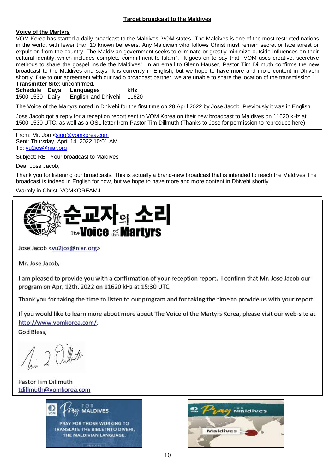#### **Target broadcast to the Maldives**

#### **Voice of the Martyrs**

VOM Korea has started a daily broadcast to the Maldives. VOM states "The Maldives is one of the most restricted nations in the world, with fewer than 10 known believers. Any Maldivian who follows Christ must remain secret or face arrest or expulsion from the country. The Maldivian government seeks to eliminate or greatly minimize outside influences on their cultural identity, which includes complete commitment to Islam". It goes on to say that "VOM uses creative, secretive methods to share the gospel inside the Maldives". In an email to Glenn Hauser, Pastor Tim Dillmuth confirms the new broadcast to the Maldives and says "It is currently in English, but we hope to have more and more content in Dhivehi shortly. Due to our agreement with our radio broadcast partner, we are unable to share the location of the transmission." **Transmitter Site**: unconfirmed.

**Schedule Days Languages kHz** English and Dhivehi 11620

The Voice of the Martyrs noted in Dhivehi for the first time on 28 April 2022 by Jose Jacob. Previously it was in English.

Jose Jacob got a reply for a reception report sent to VOM Korea on their new broadcast to Maldives on 11620 kHz at 1500-1530 UTC, as well as a QSL letter from Pastor Tim Dillmuth (Thanks to Jose for permission to reproduce here):

From: Mr. Joo [<sjoo@vomkorea.com](mailto:sjoo@vomkorea.com) Sent: Thursday, April 14, 2022 10:01 AM To: [vu2jos@niar.org](mailto:vu2jos@niar.org)

Subject: RE : Your broadcast to Maldives

Dear Jose Jacob,

Thank you for listening our broadcasts. This is actually a brand-new broadcast that is intended to reach the Maldives.The broadcast is indeed in English for now, but we hope to have more and more content in Dhivehi shortly.

Warmly in Christ, VOMKOREAMJ



Jose Jacob <vu2jos@niar.org>

Mr. Jose Jacob,

I am pleased to provide you with a confirmation of your reception report. I confirm that Mr. Jose Jacob our program on Apr, 12th, 2022 on 11620 kHz at 15:30 UTC.

Thank you for taking the time to listen to our program and for taking the time to provide us with your report.

If you would like to learn more about more about The Voice of the Martyrs Korea, please visit our web-site at http://www.vomkorea.com/.

God Bless.

1. 2 albert

**Pastor Tim Dillmuth** tdillmuth@vomkorea.com



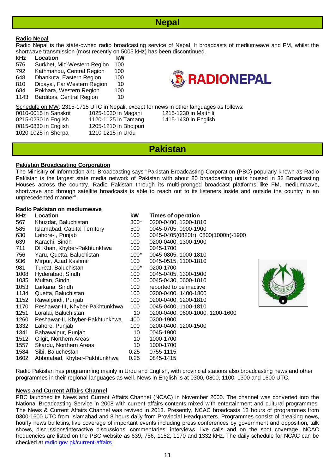

#### **Radio Nepal**

Radio Nepal is the state-owned radio broadcasting service of Nepal. It broadcasts of mediumwave and FM, whilst the shortwave transmission (most recently on 5005 kHz) has been discontinued.

**kHz Location kW** 576 Surkhet, Mid-Western Region 100 792 Kathmandu, Central Region 100 648 Dhankuta, Eastern Region 100 810 Dipayal, Far Western Region 10 684 Pokhara, Western Region 100 1143 Bardibas, Central Region 10



Schedule on MW: 2315-1715 UTC in Nepali, except for news in other languages as follows:

| 0010-0015 in Sanskr  |  |
|----------------------|--|
| 0215-0230 in English |  |
| 0815-0830 in English |  |
| 1020-1025 in Sherpa  |  |

0010-0015 in Sanskrit 1025-1030 in Magahi 1215-1230 in Maithili 0215-0230 in English 1120-1125 in Tamang 1415-1430 in English 1205-1210 in Bhojpuri 1210-1215 in Urdu

### **Pakistan**

#### **Pakistan Broadcasting Corporation**

The Minisitry of Information and Broadcasting says "Pakistan Broadcasting Corporation (PBC) popularly known as Radio Pakistan is the largest state media network of Pakistan with about 80 broadcasting units housed in 32 Broadcasting Houses across the country. Radio Pakistan through its multi-pronged broadcast platforms like FM, mediumwave, shortwave and through satellite broadcasts is able to reach out to its listeners inside and outside the country in an unprecedented manner".

#### **Radio Pakistan on mediumwave**

| <b>kHz</b> | Location                         | kW     | <b>Times of operation</b>            |
|------------|----------------------------------|--------|--------------------------------------|
| 567        | Khuzdar, Baluchistan             | $300*$ | 0200-0400, 1200-1810                 |
| 585        | Islamabad, Capital Territory     | 500    | 0045-0705, 0900-1900                 |
| 630        | Lahore-I, Punjab                 | 100    | 0045-0405(0820fr), 0800(1000fr)-1900 |
| 639        | Karachi, Sindh                   | 100    | 0200-0400, 1300-1900                 |
| 711        | DI Khan, Khyber-Pakhtunkhwa      | 100    | 0045-1700                            |
| 756        | Yaru, Quetta, Baluchistan        | $100*$ | 0045-0805, 1000-1810                 |
| 936        | Mirpur, Azad Kashmir             | 100    | 0045-0515, 1100-1810                 |
| 981        | Turbat, Baluchistan              | $100*$ | 0200-1700                            |
| 1008       | Hyderabad, Sindh                 | 100    | 0045-0405, 1300-1900                 |
| 1035       | Multan, Sindh                    | 100    | 0045-0430, 0600-1810                 |
| 1053       | Larkana, Sindh                   | 100    | reported to be inactive              |
| 1134       | Quetta, Baluchistan              | 100    | 0200-0400, 1400-1800                 |
| 1152       | Rawalpindi, Punjab               | 100    | 0200-0400, 1200-1810                 |
| 1170       | Peshawar-III, Khyber-Pakhtunkhwa | 100    | 0045-0400, 1100-1810                 |
| 1251       | Loralai, Baluchistan             | 10     | 0200-0400, 0600-1000, 1200-1600      |
| 1260       | Peshawar-II, Khyber-Pakhtunkhwa  | 400    | 0200-1900                            |
| 1332       | Lahore, Punjab                   | 100    | 0200-0400, 1200-1500                 |
| 1341       | Bahawalpur, Punjab               | 10     | 0045-1900                            |
| 1512       | Gilgit, Northern Areas           | 10     | 1000-1700                            |
| 1557       | Skardu, Northern Areas           | 10     | 1000-1700                            |
| 1584       | Sibi, Baluchestan                | 0.25   | 0755-1115                            |
| 1602       | Abbotabad, Khyber-Pakhtunkhwa    | 0.25   | 0845-1415                            |



Radio Pakistan has programming mainly in Urdu and English, with provincial stations also broadcasting news and other programmes in their regional languages as well. News in English is at 0300, 0800, 1100, 1300 and 1600 UTC.

#### **News and Current Affairs Channel**

PBC launched its News and Current Affairs Channel (NCAC) in November 2000. The channel was converted into the National Broadcasting Service in 2008 with current affairs contents mixed with entertainment and cultural programmes. The News & Current Affairs Channel was revived in 2013. Presently, NCAC broadcasts 13 hours of programmes from 0300-1600 UTC from Islamabad and 8 hours daily from Provincial Headquarters. Programmes consist of breaking news, hourly news bulletins, live coverage of important events including press conferences by government and opposition, talk shows, discussions/interactive discussions, commentaries, interviews, live calls and on the spot coverage. NCAC frequencies are listed on the PBC website as 639, 756, 1152, 1170 and 1332 kHz. The daily schedule for NCAC can be checked at [radio.gov.pk/current-affairs](https://radio.gov.pk/current-affairs)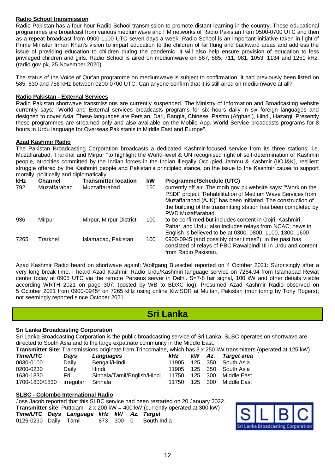#### **Radio School transmission**

Radio Pakistan has a four-hour Radio School transmission to promote distant learning in the country. These educational programmes are broadcast from various mediumwave and FM networks of Radio Pakistan from 0500-0700 UTC and then as a repeat broadcast from 0900-1100 UTC seven days a week. Radio School is an important initiative taken in light of Prime Minister Imran Khan's vision to impart education to the children of far flung and backward areas and address the issue of providing education to children during the pandemic. It will also help ensure provision of education to less privileged children and girls. Radio School is aired on mediumwave on 567, 585, 711, 981, 1053, 1134 and 1251 kHz. (radio.gov.pk, 25 November 2020)

The status of the Voice of Qur'an programme on mediumwave is subject to confirmation. It had previously been listed on 585, 630 and 756 kHz between 0200-0700 UTC. Can anyone confirm that it is still aired on mediumwave at all?

#### **Radio Pakistan - External Services**

Radio Pakistan shortwave transmissions are currently suspended. The Ministry of Information and Broadcasting website currently says: "World and External services broadcasts programs for six hours daily in six foreign languages and designed to cover Asia. These languages are Persian, Dari, Bangla, Chinese, Pashto (Afghani), Hindi, Hazargi. Presently these programmes are streamed only and also available on the Mobile App. World Service broadcasts programs for 8 hours in Urdu language for Overseas Pakistanis in Middle East and Europe".

#### **Azad Kashmir Radio**

The Pakistan Broadcasting Corporation broadcasts a dedicated Kashmir-focused service from its three stations; i.e. Muzaffarabad, Trarkhal and Mirpur "to highlight the World-level & UN recognised right of self-determination of Kashmiri people, atrocities committed by the Indian forces in the Indian Illegally Occupied Jammu & Kashmir (IIOJ&K), resilient struggle offered by the Kashmiri people and Pakistan's principled stance, on the issue to the Kashmir cause to support morally, politically and diplomatically".

| <b>kHz</b> | <b>Channel</b> | <b>Transmitter location</b> | kW  | Programme/Schedule (UTC)                                       |
|------------|----------------|-----------------------------|-----|----------------------------------------------------------------|
| 792        | Muzaffarabad   | Muzzaffarabad               | 150 | currently off air. The moib.gov.pk website says: "Work on the  |
|            |                |                             |     | PSDP project "Rehabilitation of Medium Wave Services from      |
|            |                |                             |     | Muzaffarabad (AJK)" has been initiated. The construction of    |
|            |                |                             |     | the building of the transmitting station has been completed by |
|            |                |                             |     | PWD Muzaffarabad.                                              |
| 936        | Mirpur         | Mirpur, Mirpur District     | 100 | to be confirmed but includes content in Gojri, Kashmiri,       |
|            |                |                             |     | Pahari and Urdu; also includes relays from NCAC; news in       |
|            |                |                             |     | English is believed to be at 0300, 0800, 1100, 1300, 1600      |
| 7265       | Trarkhel       | Islamabad, Pakistan         | 100 | 0900-0945 (and possibly other times?); in the past has         |
|            |                |                             |     | consisted of relays of PBC Rawalpindi III in Urdu and content  |
|            |                |                             |     | from Radio Pakistan.                                           |

Azad Kashmir Radio heard on shortwave again!: Wolfgang Bueschel reported on 4 October 2021: Surprisingly after a very long break time, I heard Azad Kashmir Radio Urdu/Kashmiri language service on 7264.94 from Islamabad Rewat center today at 0905 UTC via the remote Perseus server in Delhi. S=7-8 fair signal, 100 kW and other details visible according WRTH 2021 on page 307. (posted by WB to BDXC iog); Presumed Azad Kashmir Radio observed on 5 October 2021 from 0900-0945\* on 7265 kHz using online KiwiSDR at Multan, Pakistan (monitoring by Tony Rogers); not seemingly reported since October 2021.

### **Sri Lanka**

#### **Sri Lanka Broadcasting Corporation**

Sri Lanka Broadcasting Corporation is the public broadcasting service of Sri Lanka. SLBC operates on shortwave are directed to South Asia and to the large expatriate community in the Middle East. **Transmitter Site**: Transmissions originate from Trincomalee, which has 3 x 250 kW transmitters (operated at 125 kW).

|                |           | <b>Transmitter Site.</b> Transmissions originate from Trincomalee, which has 3 x 250 KVV transmitters ( |       |      |       |                          |
|----------------|-----------|---------------------------------------------------------------------------------------------------------|-------|------|-------|--------------------------|
| Time/UTC       | Davs      | Languages                                                                                               | kHz   |      |       | kW Az. Target area       |
| 0030-0100      | Daily     | Bengali/Hindi                                                                                           | 11905 |      |       | 125 350 South Asia       |
| 0200-0230      | Daily     | Hindi                                                                                                   |       |      |       | 11905 125 350 South Asia |
| 1630-1830      | Fri       | Sinhala/Tamil/English/Hindi                                                                             | 11750 | 125  | - 300 | Middle East              |
| 1700-1800/1830 | irregular | Sinhala                                                                                                 | 11750 | 125. | - 300 | Middle East              |

#### **SLBC - Colombo International Radio**

Jose Jacob reported that this SLBC service had been restarted on 20 January 2022. **Transmitter site**: Puttalam - 2 x 200 kW = 400 kW (currently operated at 300 kW) *Time/UTC Days Language kHz kW Az. Target* 0125-0230 Daily Tamil 873 300 0 South India

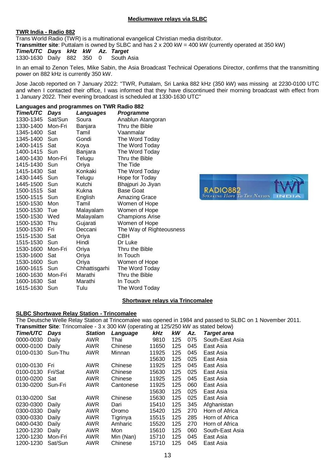#### **Mediumwave relays via SLBC**

#### **TWR India - Radio 882**

Trans World Radio (TWR) is a multinational evangelical Christian media distributor.

**Transmitter site**: Puttalam is owned by SLBC and has 2 x 200 kW = 400 kW (currently operated at 350 kW)

*Time/UTC Days kHz kW Az. Target* 1330-1630 Daily 882 350 0 South Asia

In an email to Zenon Teles, Mike Sabin, the Asia Broadcast Technical Operations Director, confirms that the transmitting power on 882 kHz is currently 350 kW.

Jose Jacob reported on 7 January 2022: "TWR, Puttalam, Sri Lanka 882 kHz (350 kW) was missing at 2230-0100 UTC and when I contacted their office, I was informed that they have discontinued their morning broadcast with effect from 1 January 2022. Their evening broadcast is scheduled at 1330-1630 UTC"

#### **Languages and programmes on TWR Radio 882** *Time/UTC Days Languages Programme*

| ,,,,,,,,,, | su y v  | -unguuguu     | , , ogrammo              |
|------------|---------|---------------|--------------------------|
| 1330-1345  | Sat/Sun | Soura         | Anablun Atangoran        |
| 1330-1400  | Mon-Fri | Banjara       | Thru the Bible           |
| 1345-1400  | Sat     | Tamil         | Vaanmalar                |
| 1345-1400  | Sun     | Gondi         | The Word Today           |
| 1400-1415  | Sat     | Koya          | The Word Today           |
| 1400-1415  | Sun     | Banjara       | The Word Today           |
| 1400-1430  | Mon-Fri | Telugu        | Thru the Bible           |
| 1415-1430  | Sun     | Oriya         | The Tide                 |
| 1415-1430  | Sat     | Konkaki       | The Word Today           |
| 1430-1445  | Sun     | Telugu        | Hope for Today           |
| 1445-1500  | Sun     | Kutchi        | Bhajpuri Jo Jiyan        |
| 1500-1515  | Sat     | Kukna         | <b>Base Goat</b>         |
| 1500-1515  | Sun     | English       | Amazing Grace            |
| 1500-1530  | Mon     | Tamil         | Women of Hope            |
| 1500-1530  | Tue     | Malayalam     | Women of Hope            |
| 1500-1530  | Wed     | Malayalam     | <b>Champions Arise</b>   |
| 1500-1530  | Thu     | Gujarati      | Women of Hope            |
| 1500-1530  | Fri     | Deccani       | The Way of Righteousness |
| 1515-1530  | Sat     | Oriya         | <b>CBH</b>               |
| 1515-1530  | Sun     | Hindi         | Dr Luke                  |
| 1530-1600  | Mon-Fri | Oriya         | Thru the Bible           |
| 1530-1600  | Sat     | Oriya         | In Touch                 |
| 1530-1600  | Sun     | Oriya         | Women of Hope            |
| 1600-1615  | Sun     | Chhattisgarhi | The Word Today           |
| 1600-1630  | Mon-Fri | Marathi       | Thru the Bible           |
| 1600-1630  | Sat     | Marathi       | In Touch                 |
| 1615-1630  | Sun     | Tulu          | The Word Today           |



#### **Shortwave relays via Trincomalee**

#### **SLBC Shortwave Relay Station - Trincomalee**

The Deutsche Welle Relay Station at Trincomalee was opened in 1984 and passed to SLBC on 1 November 2011. **Transmitter Site**: Trincomalee - 3 x 300 kW (operating at 125/250 kW as stated below)

| Time/UTC  | Days    | <b>Station</b> | Language  | kHz   | kW  | Az. | <b>Target area</b> |
|-----------|---------|----------------|-----------|-------|-----|-----|--------------------|
| 0000-0030 | Daily   | <b>AWR</b>     | Thai      | 9810  | 125 | 075 | South-East Asia    |
| 0000-0100 | Daily   | <b>AWR</b>     | Chinese   | 11650 | 125 | 045 | East Asia          |
| 0100-0130 | Sun-Thu | <b>AWR</b>     | Minnan    | 11925 | 125 | 045 | East Asia          |
|           |         |                |           | 15630 | 125 | 025 | East Asia          |
| 0100-0130 | Fri     | AWR            | Chinese   | 11925 | 125 | 045 | East Asia          |
| 0100-0130 | Fri/Sat | <b>AWR</b>     | Chinese   | 15630 | 125 | 025 | East Asia          |
| 0100-0200 | Sat     | <b>AWR</b>     | Chinese   | 11925 | 125 | 045 | East Asia          |
| 0130-0200 | Sun-Fri | <b>AWR</b>     | Cantonese | 11925 | 125 | 060 | East Asia          |
|           |         |                |           | 15630 | 125 | 025 | East Asia          |
| 0130-0200 | Sat     | <b>AWR</b>     | Chinese   | 15630 | 125 | 025 | East Asia          |
| 0230-0300 | Daily   | <b>AWR</b>     | Dari      | 15410 | 125 | 345 | Afghanistan        |
| 0300-0330 | Daily   | <b>AWR</b>     | Oromo     | 15420 | 125 | 270 | Horn of Africa     |
| 0300-0330 | Daily   | AWR            | Tigrinya  | 15515 | 125 | 285 | Horn of Africa     |
| 0400-0430 | Daily   | <b>AWR</b>     | Amharic   | 15520 | 125 | 270 | Horn of Africa     |
| 1200-1230 | Daily   | <b>AWR</b>     | Mon       | 15610 | 125 | 060 | South-East Asia    |
| 1200-1230 | Mon-Fri | <b>AWR</b>     | Min (Nan) | 15710 | 125 | 045 | East Asia          |
| 1200-1230 | Sat/Sun | <b>AWR</b>     | Chinese   | 15710 | 125 | 045 | East Asia          |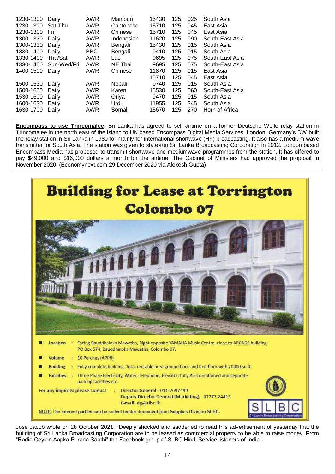| 1230-1300 | Daily       | AWR        | Manipuri   | 15430 | 125 | 025 | South Asia      |
|-----------|-------------|------------|------------|-------|-----|-----|-----------------|
| 1230-1300 | Sat-Thu     | AWR        | Cantonese  | 15710 | 125 | 045 | East Asia       |
| 1230-1300 | Fri         | AWR        | Chinese    | 15710 | 125 | 045 | East Asia       |
| 1300-1330 | Daily       | AWR        | Indonesian | 11620 | 125 | 090 | South-East Asia |
| 1300-1330 | Daily       | AWR        | Bengali    | 15430 | 125 | 015 | South Asia      |
| 1330-1400 | Daily       | <b>BBC</b> | Bengali    | 9410  | 125 | 015 | South Asia      |
| 1330-1400 | Thu/Sat     | <b>AWR</b> | Lao        | 9695  | 125 | 075 | South-East Asia |
| 1330-1400 | Sun-Wed/Fri | <b>AWR</b> | NE Thai    | 9695  | 125 | 075 | South-East Asia |
| 1400-1500 | Daily       | AWR        | Chinese    | 11870 | 125 | 015 | East Asia       |
|           |             |            |            | 15710 | 125 | 045 | East Asia       |
| 1500-1530 | Daily       | AWR        | Nepali     | 9740  | 125 | 015 | South Asia      |
| 1500-1600 | Daily       | <b>AWR</b> | Karen      | 15530 | 125 | 060 | South-East Asia |
| 1530-1600 | Daily       | AWR        | Oriya      | 9470  | 125 | 015 | South Asia      |
| 1600-1630 | Daily       | <b>AWR</b> | Urdu       | 11955 | 125 | 345 | South Asia      |
| 1630-1700 | Daily       | AWR        | Somali     | 15670 | 125 | 270 | Horn of Africa  |

**Encompass to use Trincomalee**: Sri Lanka has agreed to sell airtime on a former Deutsche Welle relay station in Trincomalee in the north east of the island to UK based Encompass Digital Media Services, London. Germany's DW built the relay station in Sri Lanka in 1980 for mainly for international shortwave (HF) broadcasting. It also has a medium wave transmitter for South Asia. The station was given to state-run Sri Lanka Broadcasting Corporation in 2012. London based Encompass Media has proposed to transmit shortwave and mediumwave programmes from the station. It has offered to pay \$49,000 and \$16,000 dollars a month for the airtime. The Cabinet of Ministers had approved the proposal in November 2020. (Economynext.com 29 December 2020 via Alokesh Gupta)



Jose Jacob wrote on 28 October 2021: "Deeply shocked and saddened to read this advertisement of yesterday that the building of Sri Lanka Broadcasting Corporation are to be leased as commercial property to be able to raise money. From "Radio Ceylon Aapka Purana Saathi" the Facebook group of SLBC Hindi Service listeners of India".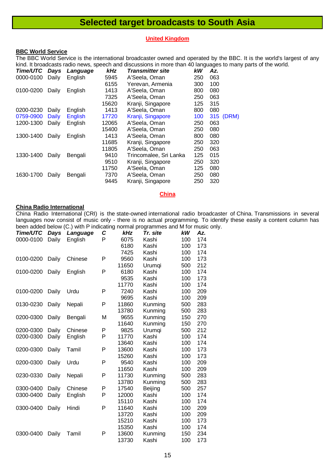## **Selected target broadcasts to South Asia**

#### **United Kingdom**

#### **BBC World Service**

The BBC World Service is the international broadcaster owned and operated by the BBC. It is the world's largest of any kind. It broadcasts radio news, speech and discussions in more than 40 languages to many parts of the world.

| Time/UTC  | Days         | Language       | kHz   | <b>Transmitter site</b> | kW  | Az. |       |
|-----------|--------------|----------------|-------|-------------------------|-----|-----|-------|
| 0000-0100 | Daily        | English        | 5945  | A'Seela, Oman           | 250 | 063 |       |
|           |              |                | 6155  | Yerevan, Armenia        | 300 | 100 |       |
| 0100-0200 | Daily        | English        | 1413  | A'Seela, Oman           | 800 | 080 |       |
|           |              |                | 7325  | A'Seela, Oman           | 250 | 063 |       |
|           |              |                | 15620 | Kranji, Singapore       | 125 | 315 |       |
| 0200-0230 | Daily        | English        | 1413  | A'Seela, Oman           | 800 | 080 |       |
| 0759-0900 | <b>Daily</b> | <b>English</b> | 17720 | Kranji, Singapore       | 100 | 315 | (DRM) |
| 1200-1300 | Daily        | English        | 12065 | A'Seela, Oman           | 250 | 063 |       |
|           |              |                | 15400 | A'Seela, Oman           | 250 | 080 |       |
| 1300-1400 | Daily        | English        | 1413  | A'Seela, Oman           | 800 | 080 |       |
|           |              |                | 11685 | Kranji, Singapore       | 250 | 320 |       |
|           |              |                | 11805 | A'Seela, Oman           | 250 | 063 |       |
| 1330-1400 | Daily        | Bengali        | 9410  | Trincomalee, Sri Lanka  | 125 | 015 |       |
|           |              |                | 9510  | Kranji, Singapore       | 250 | 320 |       |
|           |              |                | 11750 | A'Seela, Oman           | 125 | 080 |       |
| 1630-1700 | Daily        | Bengali        | 7370  | A'Seela, Oman           | 250 | 080 |       |
|           |              |                | 9445  | Kranji, Singapore       | 250 | 320 |       |

#### **China**

#### **China Radio International**

China Radio International (CRI) is the state-owned international radio broadcaster of China. Transmissions in several languages now consist of music only - there is no actual programming. To identify these easily a content column has been added below (C.) with P indicating normal programmes and M for music only.

| Time/UTC  | Days  | Language | C | יש ישיייישיי איי<br>kHz | Tr. site | kW  | Az. |
|-----------|-------|----------|---|-------------------------|----------|-----|-----|
| 0000-0100 | Daily | English  | P | 6075                    | Kashi    | 100 | 174 |
|           |       |          |   | 6180                    | Kashi    | 100 | 173 |
|           |       |          |   | 7425                    | Kashi    | 100 | 174 |
| 0100-0200 | Daily | Chinese  | P | 9560                    | Kashi    | 100 | 173 |
|           |       |          |   | 11650                   | Urumqi   | 500 | 212 |
| 0100-0200 | Daily | English  | P | 6180                    | Kashi    | 100 | 174 |
|           |       |          |   | 9535                    | Kashi    | 100 | 173 |
|           |       |          |   | 11770                   | Kashi    | 100 | 174 |
| 0100-0200 | Daily | Urdu     | P | 7240                    | Kashi    | 100 | 209 |
|           |       |          |   | 9695                    | Kashi    | 100 | 209 |
| 0130-0230 | Daily | Nepali   | P | 11860                   | Kunming  | 500 | 283 |
|           |       |          |   | 13780                   | Kunming  | 500 | 283 |
| 0200-0300 | Daily | Bengali  | M | 9655                    | Kunming  | 150 | 270 |
|           |       |          |   | 11640                   | Kunming  | 150 | 270 |
| 0200-0300 | Daily | Chinese  | P | 9825                    | Urumqi   | 500 | 212 |
| 0200-0300 | Daily | English  | P | 11770                   | Kashi    | 100 | 174 |
|           |       |          |   | 13640                   | Kashi    | 100 | 174 |
| 0200-0300 | Daily | Tamil    | P | 13600                   | Kashi    | 100 | 173 |
|           |       |          |   | 15260                   | Kashi    | 100 | 173 |
| 0200-0300 | Daily | Urdu     | P | 9540                    | Kashi    | 100 | 209 |
|           |       |          |   | 11650                   | Kashi    | 100 | 209 |
| 0230-0330 | Daily | Nepali   | P | 11730                   | Kunming  | 500 | 283 |
|           |       |          |   | 13780                   | Kunming  | 500 | 283 |
| 0300-0400 | Daily | Chinese  | P | 17540                   | Beijing  | 500 | 257 |
| 0300-0400 | Daily | English  | P | 12000                   | Kashi    | 100 | 174 |
|           |       |          |   | 15110                   | Kashi    | 100 | 174 |
| 0300-0400 | Daily | Hindi    | P | 11640                   | Kashi    | 100 | 209 |
|           |       |          |   | 13720                   | Kashi    | 100 | 209 |
|           |       |          |   | 15210                   | Kashi    | 100 | 173 |
|           |       |          |   | 15350                   | Kashi    | 100 | 174 |
| 0300-0400 | Daily | Tamil    | P | 13600                   | Kunming  | 150 | 234 |
|           |       |          |   | 13730                   | Kashi    | 100 | 173 |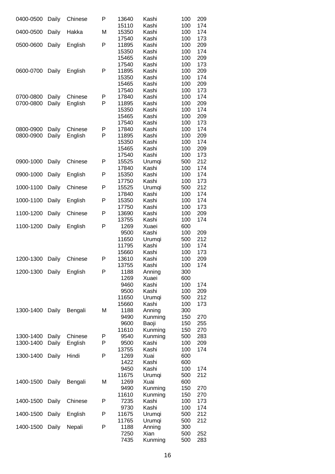| 0400-0500 | Daily          | Chinese | P | 13640          | Kashi           | 100        | 209        |
|-----------|----------------|---------|---|----------------|-----------------|------------|------------|
|           |                |         |   | 15110          | Kashi           | 100        | 174        |
| 0400-0500 | Daily          | Hakka   | M | 15350          | Kashi           | 100        | 174        |
| 0500-0600 | Daily          | English | P | 17540<br>11895 | Kashi<br>Kashi  | 100<br>100 | 173<br>209 |
|           |                |         |   | 15350          | Kashi           | 100        | 174        |
|           |                |         |   | 15465          | Kashi           | 100        | 209        |
|           |                |         |   | 17540          | Kashi           | 100        | 173        |
| 0600-0700 | Daily          | English | P | 11895          | Kashi           | 100        | 209        |
|           |                |         |   | 15350          | Kashi           | 100        | 174        |
|           |                |         |   | 15465          | Kashi           | 100        | 209        |
|           |                |         |   | 17540          | Kashi           | 100        | 173        |
| 0700-0800 | Daily          | Chinese | P | 17840          | Kashi           | 100        | 174        |
| 0700-0800 | Daily          | English | P | 11895          | Kashi           | 100        | 209        |
|           |                |         |   | 15350          | Kashi           | 100        | 174        |
|           |                |         |   | 15465          | Kashi           | 100        | 209        |
| 0800-0900 |                | Chinese | Ρ | 17540<br>17840 | Kashi<br>Kashi  | 100<br>100 | 173<br>174 |
| 0800-0900 | Daily<br>Daily | English | P | 11895          | Kashi           | 100        | 209        |
|           |                |         |   | 15350          | Kashi           | 100        | 174        |
|           |                |         |   | 15465          | Kashi           | 100        | 209        |
|           |                |         |   | 17540          | Kashi           | 100        | 173        |
| 0900-1000 | Daily          | Chinese | Ρ | 15525          | Urumqi          | 500        | 212        |
|           |                |         |   | 17840          | Kashi           | 100        | 174        |
| 0900-1000 | Daily          | English | P | 15350          | Kashi           | 100        | 174        |
|           |                |         |   | 17750          | Kashi           | 100        | 173        |
| 1000-1100 | Daily          | Chinese | P | 15525          | Urumqi          | 500        | 212        |
|           |                |         |   | 17840          | Kashi           | 100        | 174        |
| 1000-1100 | Daily          | English | P | 15350          | Kashi           | 100        | 174        |
| 1100-1200 |                | Chinese | P | 17750<br>13690 | Kashi<br>Kashi  | 100<br>100 | 173<br>209 |
|           | Daily          |         |   | 13755          | Kashi           | 100        | 174        |
| 1100-1200 | Daily          | English | P | 1269           | Xuaei           | 600        |            |
|           |                |         |   | 9500           | Kashi           | 100        | 209        |
|           |                |         |   | 11650          | Urumqi          | 500        | 212        |
|           |                |         |   | 11795          | Kashi           | 100        | 174        |
|           |                |         |   | 15660          | Kashi           | 100        | 173        |
| 1200-1300 | Daily          | Chinese | P | 13610          | Kashi           | 100        | 209        |
|           |                |         |   | 13755          | Kashi           | 100        | 174        |
| 1200-1300 | Daily          | English | P | 1188           | Anning<br>Xuaei | 300        |            |
|           |                |         |   | 1269<br>9460   | Kashi           | 600<br>100 | 174        |
|           |                |         |   | 9500           | Kashi           | 100        | 209        |
|           |                |         |   | 11650          | Urumqi          | 500        | 212        |
|           |                |         |   | 15660          | Kashi           | 100        | 173        |
| 1300-1400 | Daily          | Bengali | M | 1188           | Anning          | 300        |            |
|           |                |         |   | 9490           | Kunming         | 150        | 270        |
|           |                |         |   | 9600           | Baoji           | 150        | 255        |
|           |                |         |   | 11610          | Kunming         | 150        | 270        |
| 1300-1400 | Daily          | Chinese | Ρ | 9540           | Kunming         | 500        | 283        |
| 1300-1400 | Daily          | English | P | 9500           | Kashi           | 100        | 209        |
| 1300-1400 | Daily          | Hindi   | P | 13755<br>1269  | Kashi<br>Xuai   | 100<br>600 | 174        |
|           |                |         |   | 1422           | Kashi           | 600        |            |
|           |                |         |   | 9450           | Kashi           | 100        | 174        |
|           |                |         |   | 11675          | Urumqi          | 500        | 212        |
| 1400-1500 | Daily          | Bengali | M | 1269           | Xuai            | 600        |            |
|           |                |         |   | 9490           | Kunming         | 150        | 270        |
|           |                |         |   | 11610          | Kunming         | 150        | 270        |
| 1400-1500 | Daily          | Chinese | P | 7235           | Kashi           | 100        | 173        |
|           |                |         |   | 9730           | Kashi           | 100        | 174        |
| 1400-1500 | Daily          | English | P | 11675          | Urumqi          | 500        | 212        |
| 1400-1500 |                |         | P | 11765<br>1188  | Urumqi          | 500<br>300 | 212        |
|           | Daily          | Nepali  |   | 7250           | Anning<br>Xian  | 500        | 252        |
|           |                |         |   | 7435           | Kunming         | 500        | 283        |
|           |                |         |   |                |                 |            |            |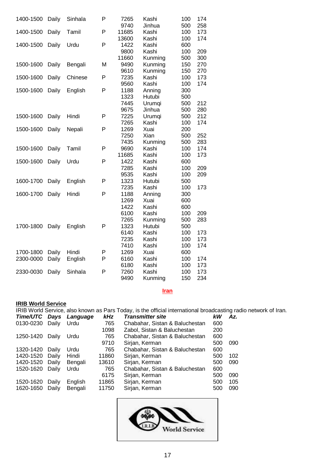| 1400-1500 | Daily | Sinhala | P | 7265  | Kashi   | 100 | 174 |
|-----------|-------|---------|---|-------|---------|-----|-----|
|           |       |         |   | 9740  | Jinhua  | 500 | 258 |
| 1400-1500 | Daily | Tamil   | P | 11685 | Kashi   | 100 | 173 |
|           |       |         |   | 13600 | Kashi   | 100 | 174 |
| 1400-1500 | Daily | Urdu    | P | 1422  | Kashi   | 600 |     |
|           |       |         |   | 9800  | Kashi   | 100 | 209 |
|           |       |         |   | 11660 | Kunming | 500 | 300 |
| 1500-1600 | Daily | Bengali | M | 9490  | Kunming | 150 | 270 |
|           |       |         |   | 9610  | Kunming | 150 | 270 |
| 1500-1600 | Daily | Chinese | P | 7235  | Kashi   | 100 | 173 |
|           |       |         |   | 9560  | Kashi   | 100 | 174 |
| 1500-1600 | Daily | English | P | 1188  | Anning  | 300 |     |
|           |       |         |   | 1323  | Hutubi  | 500 |     |
|           |       |         |   | 7445  | Urumqi  | 500 | 212 |
|           |       |         |   | 9675  | Jinhua  | 500 | 280 |
| 1500-1600 | Daily | Hindi   | P | 7225  | Urumqi  | 500 | 212 |
|           |       |         |   | 7265  | Kashi   | 100 | 174 |
| 1500-1600 | Daily | Nepali  | P | 1269  | Xuai    | 200 |     |
|           |       |         |   | 7250  | Xian    | 500 | 252 |
|           |       |         |   | 7435  | Kunming | 500 | 283 |
| 1500-1600 | Daily | Tamil   | P | 9690  | Kashi   | 100 | 174 |
|           |       |         |   | 11685 | Kashi   | 100 | 173 |
| 1500-1600 | Daily | Urdu    | P | 1422  | Kashi   | 600 |     |
|           |       |         |   | 7285  | Kashi   | 100 | 209 |
|           |       |         |   | 9535  | Kashi   | 100 | 209 |
| 1600-1700 | Daily | English | P | 1323  | Hutubi  | 500 |     |
|           |       |         |   | 7235  | Kashi   | 100 | 173 |
| 1600-1700 | Daily | Hindi   | P | 1188  | Anning  | 300 |     |
|           |       |         |   | 1269  | Xuai    | 600 |     |
|           |       |         |   | 1422  | Kashi   | 600 |     |
|           |       |         |   | 6100  | Kashi   | 100 | 209 |
|           |       |         |   | 7265  | Kunming | 500 | 283 |
| 1700-1800 | Daily | English | P | 1323  | Hutubi  | 500 |     |
|           |       |         |   | 6140  | Kashi   | 100 | 173 |
|           |       |         |   | 7235  | Kashi   | 100 | 173 |
|           |       |         |   | 7410  | Kashi   | 100 | 174 |
| 1700-1800 | Daily | Hindi   | Ρ | 1269  | Xuai    | 600 |     |
| 2300-0000 | Daily | English | P | 6160  | Kashi   | 100 | 174 |
|           |       |         |   | 6180  | Kashi   | 100 | 173 |
| 2330-0030 | Daily | Sinhala | P | 7260  | Kashi   | 100 | 173 |
|           |       |         |   | 9490  | Kunming | 150 | 234 |
|           |       |         |   |       |         |     |     |

#### **Iran**

#### **IRIB World Service**

IRIB World Service, also known as Pars Today, is the official international broadcasting radio network of Iran.

| <b>Time/UTC</b> | Days  | Language | <b>kHz</b> | <b>Transmitter site</b>        | kW  | Az. |
|-----------------|-------|----------|------------|--------------------------------|-----|-----|
| 0130-0230       | Daily | Urdu     | 765        | Chabahar, Sistan & Baluchestan | 600 |     |
|                 |       |          | 1098       | Zabol, Sistan & Baluchestan    | 200 |     |
| 1250-1420       | Daily | Urdu     | 765        | Chabahar, Sistan & Baluchestan | 600 |     |
|                 |       |          | 9710       | Sirjan, Kerman                 | 500 | 090 |
| 1320-1420       | Daily | Urdu     | 765        | Chabahar, Sistan & Baluchestan | 600 |     |
| 1420-1520       | Daily | Hindi    | 11860      | Sirjan, Kerman                 | 500 | 102 |
| 1420-1520       | Daily | Bengali  | 13610      | Sirjan, Kerman                 | 500 | 090 |
| 1520-1620       | Daily | Urdu     | 765        | Chabahar, Sistan & Baluchestan | 600 |     |
|                 |       |          | 6175       | Sirjan, Kerman                 | 500 | 090 |
| 1520-1620       | Daily | English  | 11865      | Sirjan, Kerman                 | 500 | 105 |
| 1620-1650       | Daily | Bengali  | 11750      | Sirjan, Kerman                 | 500 | 090 |
|                 |       |          |            |                                |     |     |

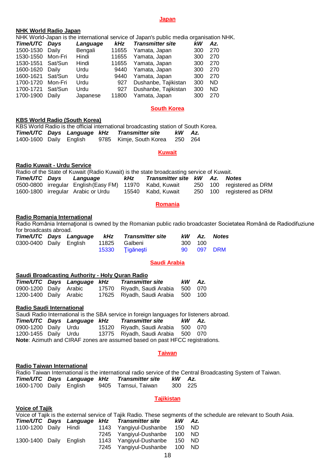#### **Japan**

#### **NHK World Radio Japan**

| NHK WONG Radio Japan |              |            |                                                                                        |                 |  |
|----------------------|--------------|------------|----------------------------------------------------------------------------------------|-----------------|--|
|                      |              |            | NHK World-Japan is the international service of Japan's public media organisation NHK. |                 |  |
| Timo/IITC Dove       | $l$ 20011200 | <i>⊾⊔−</i> | Tranomittor oito                                                                       | $L/M$ $\Lambda$ |  |

| Time/UTC Days     |         | Language | kHz   | <b>Transmitter site</b> | kW  | Az. |
|-------------------|---------|----------|-------|-------------------------|-----|-----|
| 1500-1530 Daily   |         | Bengali  | 11655 | Yamata, Japan           | 300 | 270 |
| 1530-1550 Mon-Fri |         | Hindi    | 11655 | Yamata, Japan           | 300 | 270 |
| 1530-1551 Sat/Sun |         | Hindi    | 11655 | Yamata, Japan           | 300 | 270 |
| 1600-1620 Daily   |         | Urdu     | 9440  | Yamata, Japan           | 300 | 270 |
| 1600-1621 Sat/Sun |         | Urdu     | 9440  | Yamata, Japan           | 300 | 270 |
| 1700-1720         | Mon-Fri | Urdu     | 927   | Dushanbe, Tajikistan    | 300 | ND. |
| 1700-1721         | Sat/Sun | Urdu     | 927   | Dushanbe, Tajikistan    | 300 | ND  |
| 1700-1900 Daily   |         | Japanese | 11800 | Yamata, Japan           | 300 | 270 |

#### **South Korea**

#### **KBS World Radio (South Korea)**

|  |  | KBS World Radio is the official international broadcasting station of South Korea. |        |  |
|--|--|------------------------------------------------------------------------------------|--------|--|
|  |  | Time/UTC Days Language kHz Transmitter site                                        | kW Az. |  |
|  |  | 1400-1600 Daily English 9785 Kimje, South Korea 250 264                            |        |  |

#### **Kuwait**

#### **Radio Kuwait - Urdu Service**

Radio of the State of Kuwait (Radio Kuwait) is the state broadcasting service of Kuwait.

|  | Time/UTC Days Language                                   | kHz | Transmitter site KW Az. Notes |  |                           |
|--|----------------------------------------------------------|-----|-------------------------------|--|---------------------------|
|  | 0500-0800 irregular English (Easy FM) 11970 Kabd, Kuwait |     |                               |  | 250 100 registered as DRM |
|  | 1600-1800 irregular Arabic or Urdu                       |     | 15540 Kabd, Kuwait            |  | 250 100 registered as DRM |

#### **Romania**

#### **Radio Romania International**

Radio România Internaţional is owned by the Romanian public radio broadcaster Societatea Română de Radiodifuziune for broadcasts abroad.

|  |                                       | Time/UTC Days Language kHz Transmitter site |         | kW Az. Notes |
|--|---------------------------------------|---------------------------------------------|---------|--------------|
|  | 0300-0400 Daily English 11825 Galbeni |                                             | 300 100 |              |
|  |                                       | 15330 Tigănești                             |         | 90 097 DRM   |

#### **Saudi Arabia**

#### **Saudi Broadcasting Authority - Holy Quran Radio** *Time/UTC Days Language kHz Transmitter site kW Az.* 0900-1200 Daily Arabic 17570 Riyadh, Saudi Arabia 500 070 1200-1400 Daily Arabic 17625 Riyadh, Saudi Arabia 500 100

#### **Radio Saudi International**

| Saudi Radio International is the SBA service in foreign languages for listeners abroad. |  |  |  |                                             |     |     |  |  |  |
|-----------------------------------------------------------------------------------------|--|--|--|---------------------------------------------|-----|-----|--|--|--|
|                                                                                         |  |  |  | Time/UTC Days Language kHz Transmitter site | kW. | Az. |  |  |  |
| 0900-1200 Daily Urdu                                                                    |  |  |  | 15120 Riyadh, Saudi Arabia 500 070          |     |     |  |  |  |
| 1200-1455 Daily Urdu                                                                    |  |  |  | 13775 Riyadh, Saudi Arabia 500 070          |     |     |  |  |  |
| Note: Azimuth and CIRAF zones are assumed based on past HFCC registrations.             |  |  |  |                                             |     |     |  |  |  |

#### **Taiwan**

#### **Radio Taiwan International**

|  |  |                                             |         | Radio Taiwan International is the international radio service of the Central Broadcasting System of Taiwan. |  |
|--|--|---------------------------------------------|---------|-------------------------------------------------------------------------------------------------------------|--|
|  |  | Time/UTC Days Language kHz Transmitter site | kW Az.  |                                                                                                             |  |
|  |  | 1600-1700 Daily English 9405 Tamsui, Taiwan | 300 225 |                                                                                                             |  |

#### **Tajikistan**

| <b>Voice of Tajik</b> |         |                                              |        |                                                                                                                   |
|-----------------------|---------|----------------------------------------------|--------|-------------------------------------------------------------------------------------------------------------------|
|                       |         |                                              |        | Voice of Tajik is the external service of Tajik Radio. These segments of the schedule are relevant to South Asia. |
|                       |         | Time/UTC Days Language kHz Transmitter site  | kW Az. |                                                                                                                   |
|                       |         | 1100-1200 Daily Hindi 1143 Yangiyul-Dushanbe | 150 ND |                                                                                                                   |
|                       |         | 7245 Yangiyul-Dushanbe                       | 100 ND |                                                                                                                   |
| 1300-1400 Daily       | Enalish | 1143 Yangiyul-Dushanbe                       | 150    | - ND                                                                                                              |
|                       |         | 7245 Yangiyul-Dushanbe                       | 100 ND |                                                                                                                   |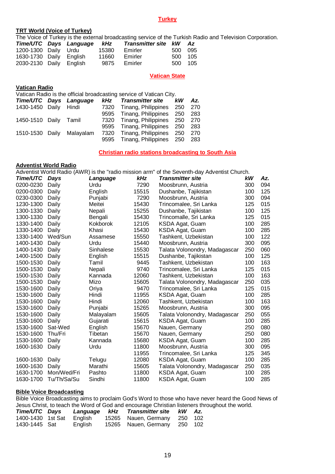#### **Turkey**

#### **TRT World (Voice of Turkey)**

The Voice of Turkey is the external broadcasting service of the Turkish Radio and Television Corporation.

|  | 15380                                                                      | Emirler                    |              |                                                         |
|--|----------------------------------------------------------------------------|----------------------------|--------------|---------------------------------------------------------|
|  | 11660                                                                      | Emirler                    |              |                                                         |
|  |                                                                            |                            |              |                                                         |
|  | 1200-1300 Daily Urdu<br>1630-1730 Daily English<br>2030-2130 Daily English | Time/UTC Days Language kHz | 9875 Emirler | Transmitter site kW Az<br>500 095<br>500 105<br>500 105 |

#### **Vatican State**

#### **Vatican Radio**

Vatican Radio is the official broadcasting service of Vatican City.

|                       | Time/UTC Days Language    | kHz  | <b>Transmitter site</b>      | kW | Az.  |
|-----------------------|---------------------------|------|------------------------------|----|------|
| 1430-1450 Daily Hindi |                           | 7320 | Tinang, Philippines 250      |    | 270  |
|                       |                           |      | 9595 Tinang, Philippines 250 |    | -283 |
| 1450-1510 Daily Tamil |                           |      | 7320 Tinang, Philippines 250 |    | -270 |
|                       |                           |      | 9595 Tinang, Philippines 250 |    | 283  |
|                       | 1510-1530 Daily Malayalam | 7320 | Tinang, Philippines 250      |    | 270  |
|                       |                           |      | 9595 Tinang, Philippines 250 |    | 283  |

#### **Christian radio stations broadcasting to South Asia**

#### **Adventist World Radio**

Adventist World Radio (AWR) is the "radio mission arm" of the Seventh-day Adventist Church.

| Time/UTC  | Days        | Language  | kHz   | <b>Transmitter site</b>       | kW  | Az. |
|-----------|-------------|-----------|-------|-------------------------------|-----|-----|
| 0200-0230 | Daily       | Urdu      | 7290  | Moosbrunn. Austria            | 300 | 094 |
| 0200-0300 | Daily       | English   | 15515 | Dushanbe, Tajikistan          | 100 | 125 |
| 0230-0300 | Daily       | Punjabi   | 7290  | Moosbrunn, Austria            | 300 | 094 |
| 1230-1300 | Daily       | Meitei    | 15430 | Trincomalee, Sri Lanka        | 125 | 015 |
| 1300-1330 | Daily       | Nepali    | 15255 | Dushanbe, Tajikistan          | 100 | 125 |
| 1300-1330 | Daily       | Bengali   | 15430 | Trincomalle, Sri Lanka        | 125 | 015 |
| 1330-1400 | Daily       | Kokborok  | 12105 | KSDA Agat, Guam               | 100 | 285 |
| 1330-1400 | Daily       | Khasi     | 15430 | KSDA Agat, Guam               | 100 | 285 |
| 1330-1400 | Wed/Sun     | Assamese  | 15550 | Tashkent, Uzbekistan          | 100 | 122 |
| 1400-1430 | Daily       | Urdu      | 15440 | Moosbrunn, Austria            | 300 | 095 |
| 1400-1430 | Daily       | Sinhalese | 15530 | Talata Volonondry, Madagascar | 250 | 060 |
| 1400-1500 | Daily       | English   | 15515 | Dushanbe, Tajikistan          | 100 | 125 |
| 1500-1530 | Daily       | Tamil     | 9445  | Tashkent, Uzbekistan          | 100 | 163 |
| 1500-1530 | Daily       | Nepali    | 9740  | Trincomalee, Sri Lanka        | 125 | 015 |
| 1500-1530 | Daily       | Kannada   | 12060 | Tashkent, Uzbekistan          | 100 | 163 |
| 1500-1530 | Daily       | Mizo      | 15605 | Talata Volonondry, Madagascar | 250 | 035 |
| 1530-1600 | Daily       | Oriya     | 9470  | Trincomalee, Sri Lanka        | 125 | 015 |
| 1530-1600 | Daily       | Hindi     | 11955 | KSDA Agat, Guam               | 100 | 285 |
| 1530-1600 | Daily       | Hindi     | 12060 | Tashkent, Uzbekistan          | 100 | 163 |
| 1530-1600 | Daily       | Punjabi   | 15265 | Moosbrunn, Austria            | 300 | 095 |
| 1530-1600 | Daily       | Malayalam | 15605 | Talata Volonondry, Madagascar | 250 | 055 |
| 1530-1600 | Daily       | Gujarati  | 15615 | KSDA Agat, Guam               | 100 | 285 |
| 1530-1600 | Sat-Wed     | English   | 15670 | Nauen, Germany                | 250 | 080 |
| 1530-1600 | Thu/Fri     | Tibetan   | 15670 | Nauen, Germany                | 250 | 080 |
| 1530-1600 | Daily       | Kannada   | 15680 | KSDA Agat, Guam               | 100 | 285 |
| 1600-1630 | Daily       | Urdu      | 11800 | Moosbrunn, Austria            | 300 | 095 |
|           |             |           | 11955 | Trincomalee, Sri Lanka        | 125 | 345 |
| 1600-1630 | Daily       | Telugu    | 12080 | KSDA Agat, Guam               | 100 | 285 |
| 1600-1630 | Daily       | Marathi   | 15605 | Talata Volonondry, Madagascar | 250 | 035 |
| 1630-1700 | Mon/Wed/Fri | Pashto    | 11800 | KSDA Agat, Guam               | 100 | 285 |
| 1630-1700 | Tu/Th/Sa/Su | Sindhi    | 11800 | KSDA Agat, Guam               | 100 | 285 |
|           |             |           |       |                               |     |     |

#### **Bible Voice Broadcasting**

Bible Voice Broadcasting aims to proclaim God's Word to those who have never heard the Good News of Jesus Christ, to teach the Word of God and encourage Christian listeners throughout the world.

| Time/UTC Days     |         | Language kHz Transmitter site kW Az. |  |
|-------------------|---------|--------------------------------------|--|
| 1400-1430 1st Sat | English | 15265 Nauen, Germany 250 102         |  |
| 1430-1445 Sat     | English | 15265 Nauen, Germany 250 102         |  |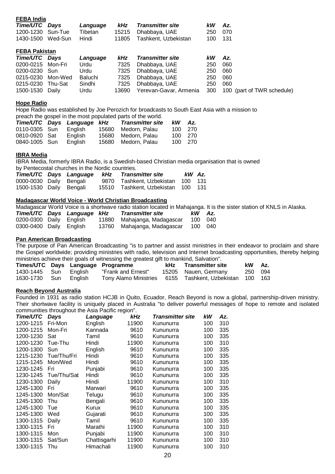| . LDA uu             |         |                |            |                         |     |                            |
|----------------------|---------|----------------|------------|-------------------------|-----|----------------------------|
| Time/UTC Days        |         | Language       | kHz        | <b>Transmitter site</b> | kW  | Az.                        |
| 1200-1230            | Sun-Tue | Tibetan        | 15215      | Dhabbaya, UAE           | 250 | 070                        |
| 1430-1500            | Wed-Sun | Hindi          | 11805      | Tashkent, Uzbekistan    | 100 | 131                        |
| <b>FEBA Pakistan</b> |         |                |            |                         |     |                            |
| Time/UTC Days        |         | Language       | <b>kHz</b> | <b>Transmitter site</b> | kW  | Az.                        |
| 0200-0215            | Mon-Fri | Urdu           | 7325       | Dhabbaya, UAE           | 250 | 060                        |
| 0200-0230 Sun        |         | Urdu           | 7325       | Dhabbaya, UAE           | 250 | 060                        |
| 0215-0230            | Mon-Wed | <b>Baluchi</b> | 7325       | Dhabbaya, UAE           | 250 | 060                        |
| 0215-0230            | Thu-Sat | Sindhi         | 7325       | Dhabbaya, UAE           | 250 | 060                        |
| 1500-1530            | Daily   | Urdu           | 13690      | Yerevan-Gavar, Armenia  | 300 | 100 (part of TWR schedule) |
|                      |         |                |            |                         |     |                            |

#### **Hope Radio**

**FEBA India**

Hope Radio was established by Joe Perozich for broadcasts to South East Asia with a mission to preach the gospel in the most populated parts of the world.

|               | Time/UTC Days Language kHz | <b>Transmitter site</b> | kW | Az.     |
|---------------|----------------------------|-------------------------|----|---------|
| 0110-0305 Sun | English                    | 15680 Medorn, Palau     |    | 100 270 |
| 0810-0920 Sat | English                    | 15680 Medorn, Palau     |    | 100 270 |
| 0840-1005 Sun | English                    | 15680 Medorn, Palau     |    | 100 270 |

#### **IBRA Media**

IBRA Media, formerly IBRA Radio, is a Swedish-based Christian media organisation that is owned by Pentecostal churches in the Nordic countries.

|                         |  | Time/UTC Days Language kHz Transmitter site | kW Az. |  |
|-------------------------|--|---------------------------------------------|--------|--|
| 0000-0030 Daily Bengali |  | 9870 Tashkent, Uzbekistan 100 131           |        |  |
| 1500-1530 Daily Bengali |  | 15510 Tashkent, Uzbekistan 100 131          |        |  |

#### **Madagascar World Voice - World Christian Broadcasting**

Madagascar World Voice is a shortwave radio station located in Mahajanga. It is the sister station of KNLS in Alaska.

|                         | Time/UTC Days Language kHz | <b>Transmitter site</b>             | kW Az.  |  |
|-------------------------|----------------------------|-------------------------------------|---------|--|
| 0200-0300 Daily English |                            | 11880 Mahajanga, Madagascar         | 100 040 |  |
| 0300-0400 Daily English |                            | 13760 Mahajanga, Madagascar 100 040 |         |  |

#### **Pan American Broadcasting**

The purpose of Pan American Broadcasting "is to partner and assist ministries in their endeavor to proclaim and share the Gospel worldwide; providing ministries with radio, television and Internet broadcasting opportunities, thereby helping ministries achieve their goals of witnessing the greatest gift to mankind, Salvation".

|                       |  | Times/UTC Days Language Programme | kHz Transmitter site                                    | kW Az. |         |
|-----------------------|--|-----------------------------------|---------------------------------------------------------|--------|---------|
| 1430-1445 Sun English |  | "Frank and Ernest"                | 15205 Nauen, Germany                                    |        | 250 094 |
| 1630-1730 Sun English |  |                                   | Tony Alamo Ministries 6155 Tashkent, Uzbekistan 100 163 |        |         |

#### **Reach Beyond Australia**

Founded in 1931 as radio station HCJB in Quito, Ecuador, Reach Beyond is now a global, partnership-driven ministry. Their shortwave facility is uniquely placed in Australia "to deliver powerful messages of hope to remote and isolated communities throughout the Asia Pacific region".

| Time/UTC  | Days        | Language     | kHz   | <b>Transmitter site</b> | kW  | Az. |
|-----------|-------------|--------------|-------|-------------------------|-----|-----|
| 1200-1215 | Fri-Mon     | English      | 11900 | Kununurra               | 100 | 310 |
| 1200-1215 | Mon-Fri     | Kannada      | 9610  | Kununurra               | 100 | 335 |
| 1200-1230 | Sat         | Tamil        | 9610  | Kununurra               | 100 | 335 |
| 1200-1230 | Tue-Thu     | Hindi        | 11900 | Kununurra               | 100 | 310 |
| 1200-1300 | Sun         | English      | 9610  | Kununurra               | 100 | 335 |
| 1215-1230 | Tue/Thu/Fri | Hindi        | 9610  | Kununurra               | 100 | 335 |
| 1215-1245 | Mon/Wed     | Hindi        | 9610  | Kununurra               | 100 | 335 |
| 1230-1245 | Fri         | Punjabi      | 9610  | Kununurra               | 100 | 335 |
| 1230-1245 | Tue/Thu/Sat | Hindi        | 9610  | Kununurra               | 100 | 335 |
| 1230-1300 | Daily       | Hindi        | 11900 | Kununurra               | 100 | 310 |
| 1245-1300 | Fri         | Marwari      | 9610  | Kununurra               | 100 | 335 |
| 1245-1300 | Mon/Sat     | Telugu       | 9610  | Kununurra               | 100 | 335 |
| 1245-1300 | Thu         | Bengali      | 9610  | Kununurra               | 100 | 335 |
| 1245-1300 | Tue         | Kurux        | 9610  | Kununurra               | 100 | 335 |
| 1245-1300 | Wed         | Gujarati     | 9610  | Kununurra               | 100 | 335 |
| 1300-1315 | Daily       | Tamil        | 9610  | Kununurra               | 100 | 335 |
| 1300-1315 | Fri         | Marathi      | 11900 | Kununurra               | 100 | 310 |
| 1300-1315 | Mon         | Punjabi      | 11900 | Kununurra               | 100 | 310 |
| 1300-1315 | Sat/Sun     | Chattisgarhi | 11900 | Kununurra               | 100 | 310 |
| 1300-1315 | Thu         | Himachali    | 11900 | Kununurra               | 100 | 310 |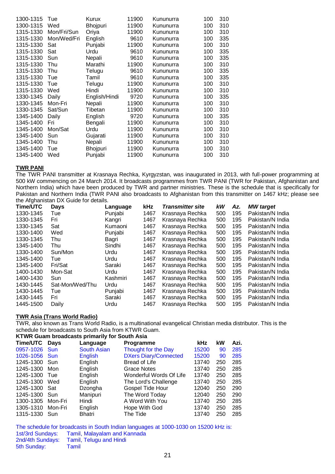| 1300-1315 | Tue         | Kurux         | 11900 | Kununurra | 100 | 310 |
|-----------|-------------|---------------|-------|-----------|-----|-----|
| 1300-1315 | Wed         | Bhojpuri      | 11900 | Kununurra | 100 | 310 |
| 1315-1330 | Mon/Fri/Sun | Oriya         | 11900 | Kununurra | 100 | 310 |
| 1315-1330 | Mon/Wed/Fri | English       | 9610  | Kununurra | 100 | 335 |
| 1315-1330 | Sat         | Punjabi       | 11900 | Kununurra | 100 | 310 |
| 1315-1330 | Sat         | Urdu          | 9610  | Kununurra | 100 | 335 |
| 1315-1330 | Sun         | Nepali        | 9610  | Kununurra | 100 | 335 |
| 1315-1330 | Thu         | Marathi       | 11900 | Kununurra | 100 | 310 |
| 1315-1330 | Thu         | Telugu        | 9610  | Kununurra | 100 | 335 |
| 1315-1330 | Tue         | Tamil         | 9610  | Kununurra | 100 | 335 |
| 1315-1330 | Tue         | Telugu        | 11900 | Kununurra | 100 | 310 |
| 1315-1330 | Wed         | Hindi         | 11900 | Kununurra | 100 | 310 |
| 1330-1345 | Daily       | English/Hindi | 9720  | Kununurra | 100 | 335 |
| 1330-1345 | Mon-Fri     | Nepali        | 11900 | Kununurra | 100 | 310 |
| 1330-1345 | Sat/Sun     | Tibetan       | 11900 | Kununurra | 100 | 310 |
| 1345-1400 | Daily       | English       | 9720  | Kununurra | 100 | 335 |
| 1345-1400 | Fri         | Bengali       | 11900 | Kununurra | 100 | 310 |
| 1345-1400 | Mon/Sat     | Urdu          | 11900 | Kununurra | 100 | 310 |
| 1345-1400 | Sun         | Gujarati      | 11900 | Kununurra | 100 | 310 |
| 1345-1400 | Thu         | Nepali        | 11900 | Kununurra | 100 | 310 |
| 1345-1400 | Tue         | Bhojpuri      | 11900 | Kununurra | 100 | 310 |
| 1345-1400 | Wed         | Punjabi       | 11900 | Kununurra | 100 | 310 |

#### **TWR PANI**

The TWR PANI transmitter at Krasnaya Rechka, Kyrgyzstan, was inaugurated in 2013, with full-power programming at 500 kW commencing on 24 March 2014. It broadcasts programmes from TWR PANI (TWR for Pakistan, Afghanistan and Northern India) which have been produced by TWR and partner ministries. These is the schedule that is specifically for Pakistan and Northern India (TWR PANI also broadcasts to Afghanistan from this transmitter on 1467 kHz; please see the Afghanistan DX Guide for details.

| Time/UTC  | <b>Days</b>     | Language | kHz  | <b>Transmitter site</b> | kW  | Az. | <b>MW</b> target |
|-----------|-----------------|----------|------|-------------------------|-----|-----|------------------|
| 1330-1345 | Tue             | Punjabi  | 1467 | Krasnaya Rechka         | 500 | 195 | Pakistan/N India |
| 1330-1345 | Fri             | Kangri   | 1467 | Krasnaya Rechka         | 500 | 195 | Pakistan/N India |
| 1330-1345 | Sat             | Kumaoni  | 1467 | Krasnaya Rechka         | 500 | 195 | Pakistan/N India |
| 1330-1400 | Wed             | Punjabi  | 1467 | Krasnaya Rechka         | 500 | 195 | Pakistan/N India |
| 1330-1345 | Thu             | Bagri    | 1467 | Krasnaya Rechka         | 500 | 195 | Pakistan/N India |
| 1345-1400 | Thu             | Sindhi   | 1467 | Krasnaya Rechka         | 500 | 195 | Pakistan/N India |
| 1330-1400 | Sun/Mon         | Urdu     | 1467 | Krasnaya Rechka         | 500 | 195 | Pakistan/N India |
| 1345-1400 | Tue             | Urdu     | 1467 | Krasnaya Rechka         | 500 | 195 | Pakistan/N India |
| 1345-1400 | Fri/Sat         | Saraki   | 1467 | Krasnaya Rechka         | 500 | 195 | Pakistan/N India |
| 1400-1430 | Mon-Sat         | Urdu     | 1467 | Krasnaya Rechka         | 500 | 195 | Pakistan/N India |
| 1400-1430 | Sun             | Kashmiri | 1467 | Krasnaya Rechka         | 500 | 195 | Pakistan/N India |
| 1430-1445 | Sat-Mon/Wed/Thu | Urdu     | 1467 | Krasnaya Rechka         | 500 | 195 | Pakistan/N India |
| 1430-1445 | Tue             | Punjabi  | 1467 | Krasnaya Rechka         | 500 | 195 | Pakistan/N India |
| 1430-1445 | Fri             | Saraki   | 1467 | Krasnaya Rechka         | 500 | 195 | Pakistan/N India |
| 1445-1500 | Daily           | Urdu     | 1467 | Krasnaya Rechka         | 500 | 195 | Pakistan/N India |

#### **TWR Asia (Trans World Radio)**

TWR, also known as Trans World Radio, is a multinational evangelical Christian media distributor. This is the schedule for broadcasts to South Asia from KTWR Guam.

| KTWR Guam broadcasts primarily for South Asia |             |                    |                              |            |     |      |  |  |  |
|-----------------------------------------------|-------------|--------------------|------------------------------|------------|-----|------|--|--|--|
| Time/UTC                                      | <b>Days</b> | Language           | <b>Programme</b>             | <b>kHz</b> | kW  | Azi. |  |  |  |
| 0957-1026 Sun                                 |             | <b>South Asian</b> | Thought for the Day          | 15200      | 90  | 285  |  |  |  |
| 1026-1056 Sun                                 |             | <b>English</b>     | <b>DXers Diary/Connected</b> | 15200      | 90  | 285  |  |  |  |
| 1245-1300 Sun                                 |             | English            | Bread of Life                | 13740      | 250 | 285  |  |  |  |
| 1245-1300                                     | Mon         | English            | Grace Notes                  | 13740      | 250 | 285  |  |  |  |
| 1245-1300                                     | Tue         | English            | Wonderful Words Of Life      | 13740      | 250 | 285  |  |  |  |
| 1245-1300                                     | Wed         | English            | The Lord's Challenge         | 13740      | 250 | 285  |  |  |  |
| 1245-1300                                     | Sat         | Dzongha            | <b>Gospel Tide Hour</b>      | 12040      | 250 | 290  |  |  |  |
| 1245-1300                                     | Sun         | Manipuri           | The Word Today               | 12040      | 250 | 290  |  |  |  |
| 1300-1305                                     | Mon-Fri     | Hindi              | A Word With You              | 13740      | 250 | 285  |  |  |  |
| 1305-1310                                     | Mon-Fri     | English            | Hope With God                | 13740      | 250 | 285  |  |  |  |
| 1315-1330                                     | Sun         | Bhatri             | The Tide                     | 13740      | 250 | 285  |  |  |  |

The schedule for broadcasts in South Indian languages at 1000-1030 on 15200 kHz is:<br>1st/3rd Sundays: Tamil, Malayalam and Kannada 1st/3rd Sundays: Tamil, Malayalam and Kannada<br>2nd/4th Sundays: Tamil, Telugu and Hindi Tamil, Telugu and Hindi<br>Tamil 5th Sunday: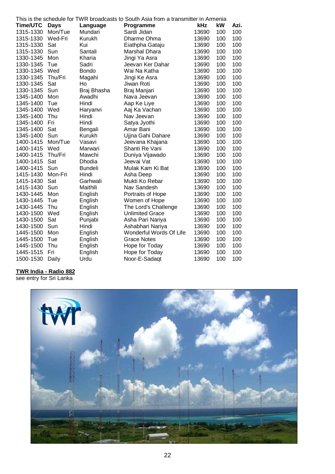| This is the schedule for TWR broadcasts to South Asia from a transmitter in Armenia |             |                |                         |       |     |      |  |
|-------------------------------------------------------------------------------------|-------------|----------------|-------------------------|-------|-----|------|--|
| Time/UTC                                                                            | <b>Days</b> | Language       | Programme               | kHz   | kW  | Azi. |  |
| 1315-1330                                                                           | Mon/Tue     | Mundari        | Sardi Jidan             | 13690 | 100 | 100  |  |
| 1315-1330                                                                           | Wed-Fri     | Kurukh         | Dharme Ohma             | 13690 | 100 | 100  |  |
| 1315-1330                                                                           | Sat         | Kui            | Eiathpha Gataju         | 13690 | 100 | 100  |  |
| 1315-1330                                                                           | Sun         | Santali        | Marshal Dhara           | 13690 | 100 | 100  |  |
| 1330-1345                                                                           | Mon         | Kharia         | Jingi Ya Asra           | 13690 | 100 | 100  |  |
| 1330-1345                                                                           | Tue         | Sadri          | Jeevan Ker Dahar        | 13690 | 100 | 100  |  |
| 1330-1345                                                                           | Wed         | <b>Bondo</b>   | Wai Na Katha            | 13690 | 100 | 100  |  |
| 1330-1345                                                                           | Thu/Fri     | Magahi         | Jingi Ke Asra           | 13690 | 100 | 100  |  |
| 1330-1345                                                                           | Sat         | Ho             | Jiwan Roti              | 13690 | 100 | 100  |  |
| 1330-1345                                                                           | Sun         | Braj Bhasha    | Braj Manjari            | 13690 | 100 | 100  |  |
| 1345-1400                                                                           | Mon         | Awadhi         | Nava Jeevan             | 13690 | 100 | 100  |  |
| 1345-1400                                                                           | Tue         | Hindi          | Aap Ke Liye             | 13690 | 100 | 100  |  |
| 1345-1400                                                                           | Wed         | Haryanvi       | Aaj Ka Vachan           | 13690 | 100 | 100  |  |
| 1345-1400                                                                           | Thu         | Hindi          | Nav Jeevan              | 13690 | 100 | 100  |  |
| 1345-1400                                                                           | Fri         | Hindi          | Satya Jyothi            | 13690 | 100 | 100  |  |
| 1345-1400                                                                           | Sat         | Bengali        | Amar Bani               | 13690 | 100 | 100  |  |
| 1345-1400                                                                           | Sun         | Kurukh         | Ujjna Gahi Dahare       | 13690 | 100 | 100  |  |
| 1400-1415                                                                           | Mon/Tue     | Vasavi         | Jeevana Khajana         | 13690 | 100 | 100  |  |
| 1400-1415                                                                           | Wed         | Marwari        | Shanti Re Vani          | 13690 | 100 | 100  |  |
| 1400-1415                                                                           | Thu/Fri     | Mawchi         | Duniya Vijawado         | 13690 | 100 | 100  |  |
| 1400-1415                                                                           | Sat         | Dhodia         | Jeevai Vat              | 13690 | 100 | 100  |  |
| 1400-1415                                                                           | Sun         | <b>Bundeli</b> | Mulak Kam Ki Bat        | 13690 | 100 | 100  |  |
| 1415-1430                                                                           | Mon-Fri     | Hindi          | Asha Deep               | 13690 | 100 | 100  |  |
| 1415-1430                                                                           | Sat         | Garhwali       | Mukti Ko Rebar          | 13690 | 100 | 100  |  |
| 1415-1430                                                                           | Sun         | Maithili       | Nav Sandesh             | 13690 | 100 | 100  |  |
| 1430-1445                                                                           | Mon         | English        | Portraits of Hope       | 13690 | 100 | 100  |  |
| 1430-1445                                                                           | Tue         | English        | Women of Hope           | 13690 | 100 | 100  |  |
| 1430-1445                                                                           | Thu         | English        | The Lord's Challenge    | 13690 | 100 | 100  |  |
| 1430-1500                                                                           | Wed         | English        | <b>Unlimited Grace</b>  | 13690 | 100 | 100  |  |
| 1430-1500                                                                           | Sat         | Punjabi        | Asha Pari Nariya        | 13690 | 100 | 100  |  |
| 1430-1500                                                                           | Sun         | Hindi          | Ashabhari Nariya        | 13690 | 100 | 100  |  |
| 1445-1500                                                                           | Mon         | English        | Wonderful Words Of Life | 13690 | 100 | 100  |  |
| 1445-1500                                                                           | Tue         | English        | <b>Grace Notes</b>      | 13690 | 100 | 100  |  |
| 1445-1500                                                                           | Thu         | English        | Hope for Today          | 13690 | 100 | 100  |  |
| 1445-1515                                                                           | Fri         | English        | Hope for Today          | 13690 | 100 | 100  |  |
| 1500-1530                                                                           | Daily       | Urdu           | Noor-E-Sadaqt           | 13690 | 100 | 100  |  |

#### **TWR India - Radio 882**

see entry for Sri Lanka

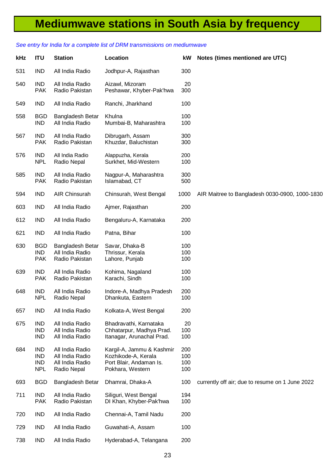## **Mediumwave stations in South Asia by frequency**

## **kHz ITU Station Location kW Notes (times mentioned are UTC)** 531 IND All India Radio Jodhpur-A, Rajasthan 300 540 IND All India Radio Aizawl, Mizoram 20 PAK Radio Pakistan Peshawar, Khyber-Pak'hwa 300 549 IND All India Radio Ranchi, Jharkhand 100 558 BGD Bangladesh Betar Khulna 100 IND All India Radio Mumbai-B, Maharashtra 100 567 IND All India Radio Dibrugarh, Assam 300 PAK Radio Pakistan Khuzdar, Baluchistan 300 576 IND All India Radio Alappuzha, Kerala 200 NPL Radio Nepal Surkhet, Mid-Western 100 585 IND All India Radio Nagpur-A, Maharashtra 300 PAK Radio Pakistan Islamabad, CT 500 594 IND AIR Chinsurah Chinsurah, West Bengal 1000 AIR Maitree to Bangladesh 0030-0900, 1000-1830 603 IND All India Radio Ajmer, Rajasthan 200 612 IND All India Radio Bengaluru-A, Karnataka 200 621 IND All India Radio Patna, Bihar 100 630 BGD Bangladesh Betar Savar, Dhaka-B 100 IND All India Radio Thrissur, Kerala 100 PAK Radio Pakistan Lahore, Puniab 100 639 IND All India Radio Kohima, Nagaland 100 PAK Radio Pakistan Karachi, Sindh 100 648 IND All India Radio Indore-A, Madhya Pradesh 200 Radio Nepal Dhankuta, Eastern 100 657 IND All India Radio Kolkata-A, West Bengal 200 675 IND All India Radio Bhadravathi, Karnataka 20 IND All India Radio Chhatarpur, Madhya Prad. 100 IND All India Radio Itanagar, Arunachal Prad. 100 684 IND All India Radio Kargil-A, Jammu & Kashmir 200 IND All India Radio Kozhikode-A, Kerala 100 IND All India Radio Port Blair, Andaman Is. 100<br>
NPL Radio Nepal Pokhara, Western 100 Radio Nepal Pokhara, Western 100 693 BGD Bangladesh Betar Dhamrai, Dhaka-A 100 currently off air; due to resume on 1 June 2022 711 IND All India Radio Siliguri, West Bengal 194 PAK Radio Pakistan DI Khan, Khyber-Pak'hwa 100 720 IND All India Radio Chennai-A, Tamil Nadu 200 729 IND All India Radio Guwahati-A, Assam 100 738 IND All India Radio Hyderabad-A, Telangana 200

#### *See entry for India for a complete list of DRM transmissions on mediumwave*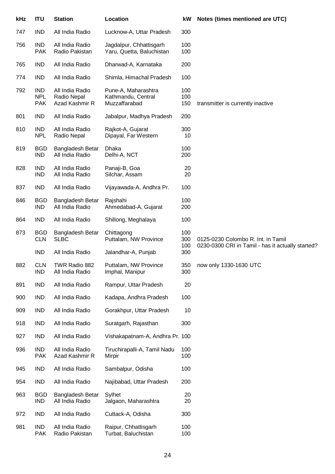| kHz | <b>ITU</b>                             | <b>Station</b>                                   | Location                                                   | kW                | Notes (times mentioned are UTC)                   |
|-----|----------------------------------------|--------------------------------------------------|------------------------------------------------------------|-------------------|---------------------------------------------------|
| 747 | <b>IND</b>                             | All India Radio                                  | Lucknow-A, Uttar Pradesh                                   | 300               |                                                   |
| 756 | <b>IND</b><br><b>PAK</b>               | All India Radio<br>Radio Pakistan                | Jagdalpur, Chhattisgarh<br>Yaru, Quetta, Baluchistan       | 100<br>100        |                                                   |
| 765 | <b>IND</b>                             | All India Radio                                  | Dharwad-A, Karnataka                                       | 200               |                                                   |
| 774 | <b>IND</b>                             | All India Radio                                  | Shimla, Himachal Pradesh                                   | 100               |                                                   |
| 792 | <b>IND</b><br><b>NPL</b><br><b>PAK</b> | All India Radio<br>Radio Nepal<br>Azad Kashmir R | Pune-A, Maharashtra<br>Kathmandu, Central<br>Muzzaffarabad | 100<br>100<br>150 | transmitter is currently inactive                 |
| 801 | <b>IND</b>                             | All India Radio                                  | Jabalpur, Madhya Pradesh                                   | 200               |                                                   |
| 810 | <b>IND</b><br><b>NPL</b>               | All India Radio<br>Radio Nepal                   | Rajkot-A, Gujarat<br>Dipayal, Far Western                  | 300<br>10         |                                                   |
| 819 | <b>BGD</b><br><b>IND</b>               | Bangladesh Betar<br>All India Radio              | Dhaka<br>Delhi-A, NCT                                      | 100<br>200        |                                                   |
| 828 | <b>IND</b><br><b>IND</b>               | All India Radio<br>All India Radio               | Panaji-B, Goa<br>Silchar, Assam                            | 20<br>20          |                                                   |
| 837 | <b>IND</b>                             | All India Radio                                  | Vijayawada-A, Andhra Pr.                                   | 100               |                                                   |
| 846 | <b>BGD</b><br><b>IND</b>               | Bangladesh Betar<br>All India Radio              | Rajshahi<br>Ahmedabad-A, Gujarat                           | 100<br>200        |                                                   |
| 864 | <b>IND</b>                             | All India Radio                                  | Shillong, Meghalaya                                        | 100               |                                                   |
| 873 | <b>BGD</b><br><b>CLN</b>               | Bangladesh Betar<br><b>SLBC</b>                  | Chittagong<br>Puttalam, NW Province                        | 100<br>300        | 0125-0230 Colombo R. Int. in Tamil                |
|     | <b>IND</b>                             | All India Radio                                  | Jalandhar-A, Punjab                                        | 100<br>300        | 0230-0300 CRI in Tamil - has it actually started? |
| 882 | <b>CLN</b><br><b>IND</b>               | TWR Radio 882<br>All India Radio                 | Puttalam, NW Province<br>Imphal, Manipur                   | 350<br>300        | now only 1330-1630 UTC                            |
| 891 | <b>IND</b>                             | All India Radio                                  | Rampur, Uttar Pradesh                                      | 20                |                                                   |
| 900 | <b>IND</b>                             | All India Radio                                  | Kadapa, Andhra Pradesh                                     | 100               |                                                   |
| 909 | <b>IND</b>                             | All India Radio                                  | Gorakhpur, Uttar Pradesh                                   | 10                |                                                   |
| 918 | <b>IND</b>                             | All India Radio                                  | Suratgarh, Rajasthan                                       | 300               |                                                   |
| 927 | <b>IND</b>                             | All India Radio                                  | Vishakapatnam-A, Andhra Pr. 100                            |                   |                                                   |
| 936 | <b>IND</b><br><b>PAK</b>               | All India Radio<br>Azad Kashmir R                | Tiruchirapalli-A, Tamil Nadu<br>Mirpir                     | 100<br>100        |                                                   |
| 945 | <b>IND</b>                             | All India Radio                                  | Sambalpur, Odisha                                          | 100               |                                                   |
| 954 | <b>IND</b>                             | All India Radio                                  | Najibabad, Uttar Pradesh                                   | 200               |                                                   |
| 963 | <b>BGD</b><br><b>IND</b>               | Bangladesh Betar<br>All India Radio              | Sylhet<br>Jalgaon, Maharashtra                             | 20<br>20          |                                                   |
| 972 | <b>IND</b>                             | All India Radio                                  | Cuttack-A, Odisha                                          | 300               |                                                   |
| 981 | <b>IND</b><br><b>PAK</b>               | All India Radio<br>Radio Pakistan                | Raipur, Chhattisgarh<br>Turbat, Baluchistan                | 100<br>100        |                                                   |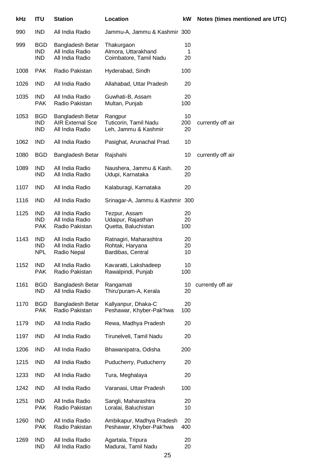| kHz  | <b>ITU</b>                             | <b>Station</b>                                                 | Location                                                       | kW              | Notes (times mentioned are UTC) |
|------|----------------------------------------|----------------------------------------------------------------|----------------------------------------------------------------|-----------------|---------------------------------|
| 990  | <b>IND</b>                             | All India Radio                                                | Jammu-A, Jammu & Kashmir 300                                   |                 |                                 |
| 999  | <b>BGD</b><br><b>IND</b><br><b>IND</b> | Bangladesh Betar<br>All India Radio<br>All India Radio         | Thakurgaon<br>Almora, Uttarakhand<br>Coimbatore, Tamil Nadu    | 10<br>1<br>20   |                                 |
| 1008 | <b>PAK</b>                             | Radio Pakistan                                                 | Hyderabad, Sindh                                               | 100             |                                 |
| 1026 | <b>IND</b>                             | All India Radio                                                | Allahabad, Uttar Pradesh                                       | 20              |                                 |
| 1035 | IND<br><b>PAK</b>                      | All India Radio<br>Radio Pakistan                              | Guwhati-B, Assam<br>Multan, Punjab                             | 20<br>100       |                                 |
| 1053 | <b>BGD</b><br><b>IND</b><br><b>IND</b> | Bangladesh Betar<br><b>AIR External Sce</b><br>All India Radio | Rangpur<br>Tuticorin, Tamil Nadu<br>Leh, Jammu & Kashmir       | 10<br>200<br>20 | currently off air               |
| 1062 | <b>IND</b>                             | All India Radio                                                | Pasighat, Arunachal Prad.                                      | 10              |                                 |
| 1080 | <b>BGD</b>                             | Bangladesh Betar                                               | Rajshahi                                                       | 10              | currently off air               |
| 1089 | <b>IND</b><br><b>IND</b>               | All India Radio<br>All India Radio                             | Naushera, Jammu & Kash.<br>Udupi, Karnataka                    | 20<br>20        |                                 |
| 1107 | <b>IND</b>                             | All India Radio                                                | Kalaburagi, Karnataka                                          | 20              |                                 |
| 1116 | <b>IND</b>                             | All India Radio                                                | Srinagar-A, Jammu & Kashmir 300                                |                 |                                 |
| 1125 | <b>IND</b><br><b>IND</b><br><b>PAK</b> | All India Radio<br>All India Radio<br>Radio Pakistan           | Tezpur, Assam<br>Udaipur, Rajasthan<br>Quetta, Baluchistan     | 20<br>20<br>100 |                                 |
| 1143 | <b>IND</b><br><b>IND</b><br><b>NPL</b> | All India Radio<br>All India Radio<br>Radio Nepal              | Ratnagiri, Maharashtra<br>Rohtak, Haryana<br>Bardibas, Central | 20<br>20<br>10  |                                 |
| 1152 | <b>IND</b><br><b>PAK</b>               | All India Radio<br>Radio Pakistan                              | Kavaratti, Lakshadeep<br>Rawalpindi, Punjab                    | 10<br>100       |                                 |
| 1161 | <b>BGD</b><br><b>IND</b>               | Bangladesh Betar<br>All India Radio                            | Rangamati<br>Thiru'puram-A, Kerala                             | 10<br>20        | currently off air               |
| 1170 | <b>BGD</b><br><b>PAK</b>               | Bangladesh Betar<br>Radio Pakistan                             | Kallyanpur, Dhaka-C<br>Peshawar, Khyber-Pak'hwa                | 20<br>100       |                                 |
| 1179 | <b>IND</b>                             | All India Radio                                                | Rewa, Madhya Pradesh                                           | 20              |                                 |
| 1197 | IND                                    | All India Radio                                                | Tirunelveli, Tamil Nadu                                        | 20              |                                 |
| 1206 | IND                                    | All India Radio                                                | Bhawanipatra, Odisha                                           | 200             |                                 |
| 1215 | IND                                    | All India Radio                                                | Puducherry, Puducherry                                         | 20              |                                 |
| 1233 | <b>IND</b>                             | All India Radio                                                | Tura, Meghalaya                                                | 20              |                                 |
| 1242 | IND                                    | All India Radio                                                | Varanasi, Uttar Pradesh                                        | 100             |                                 |
| 1251 | <b>IND</b><br><b>PAK</b>               | All India Radio<br>Radio Pakistan                              | Sangli, Maharashtra<br>Loralai, Baluchistan                    | 20<br>10        |                                 |
| 1260 | IND<br><b>PAK</b>                      | All India Radio<br>Radio Pakistan                              | Ambikapur, Madhya Pradesh<br>Peshawar, Khyber-Pak'hwa          | 20<br>400       |                                 |
| 1269 | <b>IND</b><br><b>IND</b>               | All India Radio<br>All India Radio                             | Agartala, Tripura<br>Madurai, Tamil Nadu                       | 20<br>20        |                                 |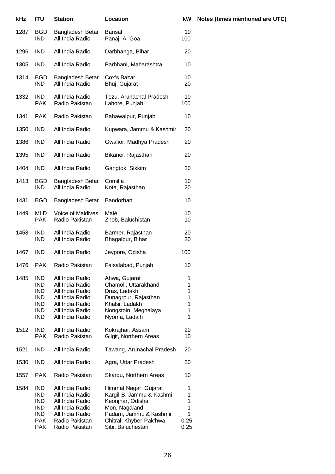| kHz  | <b>ITU</b>                                                                                     | <b>Station</b>                                                                                                                    | Location                                                                                                                                                          | kW                                    |
|------|------------------------------------------------------------------------------------------------|-----------------------------------------------------------------------------------------------------------------------------------|-------------------------------------------------------------------------------------------------------------------------------------------------------------------|---------------------------------------|
| 1287 | BGD<br><b>IND</b>                                                                              | Bangladesh Betar<br>All India Radio                                                                                               | <b>Barisal</b><br>Panaji-A, Goa                                                                                                                                   | 10<br>100                             |
| 1296 | <b>IND</b>                                                                                     | All India Radio                                                                                                                   | Darbhanga, Bihar                                                                                                                                                  | 20                                    |
| 1305 | <b>IND</b>                                                                                     | All India Radio                                                                                                                   | Parbhani, Maharashtra                                                                                                                                             | 10                                    |
| 1314 | <b>BGD</b><br><b>IND</b>                                                                       | Bangladesh Betar<br>All India Radio                                                                                               | Cox's Bazar<br>Bhuj, Gujarat                                                                                                                                      | 10<br>20                              |
| 1332 | <b>IND</b><br><b>PAK</b>                                                                       | All India Radio<br>Radio Pakistan                                                                                                 | Tezu, Arunachal Pradesh<br>Lahore, Punjab                                                                                                                         | 10<br>100                             |
| 1341 | <b>PAK</b>                                                                                     | Radio Pakistan                                                                                                                    | Bahawalpur, Punjab                                                                                                                                                | 10                                    |
| 1350 | <b>IND</b>                                                                                     | All India Radio                                                                                                                   | Kupwara, Jammu & Kashmir                                                                                                                                          | 20                                    |
| 1386 | <b>IND</b>                                                                                     | All India Radio                                                                                                                   | Gwalior, Madhya Pradesh                                                                                                                                           | 20                                    |
| 1395 | <b>IND</b>                                                                                     | All India Radio                                                                                                                   | Bikaner, Rajasthan                                                                                                                                                | 20                                    |
| 1404 | <b>IND</b>                                                                                     | All India Radio                                                                                                                   | Gangtok, Sikkim                                                                                                                                                   | 20                                    |
| 1413 | <b>BGD</b><br><b>IND</b>                                                                       | Bangladesh Betar<br>All India Radio                                                                                               | Comilla<br>Kota, Rajasthan                                                                                                                                        | 10<br>20                              |
| 1431 | <b>BGD</b>                                                                                     | Bangladesh Betar                                                                                                                  | Bandorban                                                                                                                                                         | 10                                    |
| 1449 | MLD<br><b>PAK</b>                                                                              | Voice of Maldives<br>Radio Pakistan                                                                                               | Malé<br>Zhob, Baluchistan                                                                                                                                         | 10<br>10                              |
| 1458 | <b>IND</b><br><b>IND</b>                                                                       | All India Radio<br>All India Radio                                                                                                | Barmer, Rajasthan<br>Bhagalpur, Bihar                                                                                                                             | 20<br>20                              |
| 1467 | <b>IND</b>                                                                                     | All India Radio                                                                                                                   | Jeypore, Odisha                                                                                                                                                   | 100                                   |
| 1476 | <b>PAK</b>                                                                                     | Radio Pakistan                                                                                                                    | Faisalabad, Punjab                                                                                                                                                | 10                                    |
| 1485 | <b>IND</b><br><b>IND</b><br><b>IND</b><br><b>IND</b><br><b>IND</b><br><b>IND</b><br><b>IND</b> | All India Radio<br>All India Radio<br>All India Radio<br>All India Radio<br>All India Radio<br>All India Radio<br>All India Radio | Ahwa, Gujarat<br>Chamoli, Uttarakhand<br>Dras, Ladakh<br>Dunagrpur, Rajasthan<br>Khalsi, Ladakh<br>Nongstoin, Meghalaya<br>Nyoma, Ladalh                          | 1<br>1<br>1<br>1<br>1<br>1<br>1       |
| 1512 | <b>IND</b><br><b>PAK</b>                                                                       | All India Radio<br>Radio Pakistan                                                                                                 | Kokrajhar, Assam<br>Gilgit, Northern Areas                                                                                                                        | 20<br>10                              |
| 1521 | <b>IND</b>                                                                                     | All India Radio                                                                                                                   | Tawang, Arunachal Pradesh                                                                                                                                         | 20                                    |
| 1530 | <b>IND</b>                                                                                     | All India Radio                                                                                                                   | Agra, Uttar Pradesh                                                                                                                                               | 20                                    |
| 1557 | <b>PAK</b>                                                                                     | Radio Pakistan                                                                                                                    | Skardu, Northern Areas                                                                                                                                            | 10                                    |
| 1584 | <b>IND</b><br><b>IND</b><br><b>IND</b><br><b>IND</b><br>IND.<br><b>PAK</b><br><b>PAK</b>       | All India Radio<br>All India Radio<br>All India Radio<br>All India Radio<br>All India Radio<br>Radio Pakistan<br>Radio Pakistan   | Himmat Nagar, Gujarat<br>Kargil-B, Jammu & Kashmir<br>Keonjhar, Odisha<br>Mon, Nagaland<br>Padam, Jammu & Kashmir<br>Chitral, Khyber-Pak'hwa<br>Sibi, Baluchestan | 1<br>1<br>1<br>1<br>1<br>0.25<br>0.25 |

#### **Notes (times mentioned are UTC)**